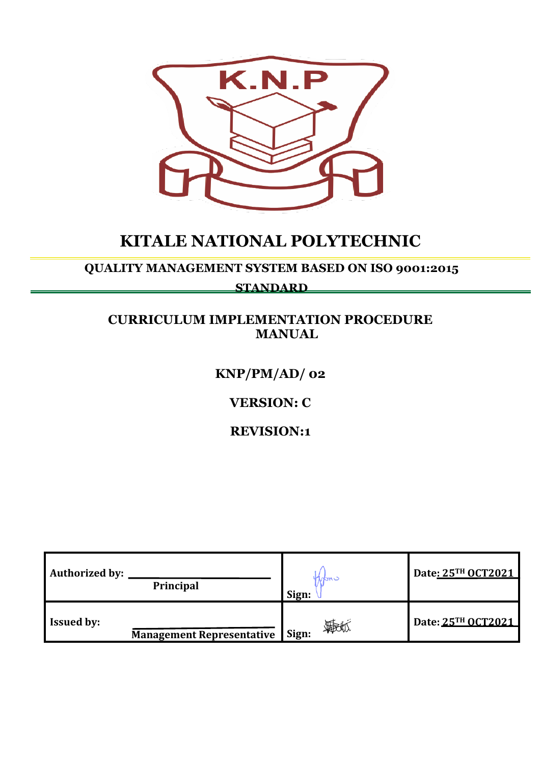

# **KITALE NATIONAL POLYTECHNIC**

**QUALITY MANAGEMENT SYSTEM BASED ON ISO 9001:2015** 

**STANDARD**

# **CURRICULUM IMPLEMENTATION PROCEDURE MANUAL**

# **KNP/PM/AD/ 02**

# **VERSION: C**

# **REVISION:1**

| <b>Authorized by:</b><br>Principal |                                  | 10toni<br>Sign: | Date: 25TH OCT2021 |
|------------------------------------|----------------------------------|-----------------|--------------------|
| <b>Issued by:</b>                  | <b>Management Representative</b> | 梅地<br>Sign:     | Date: 25TH OCT2021 |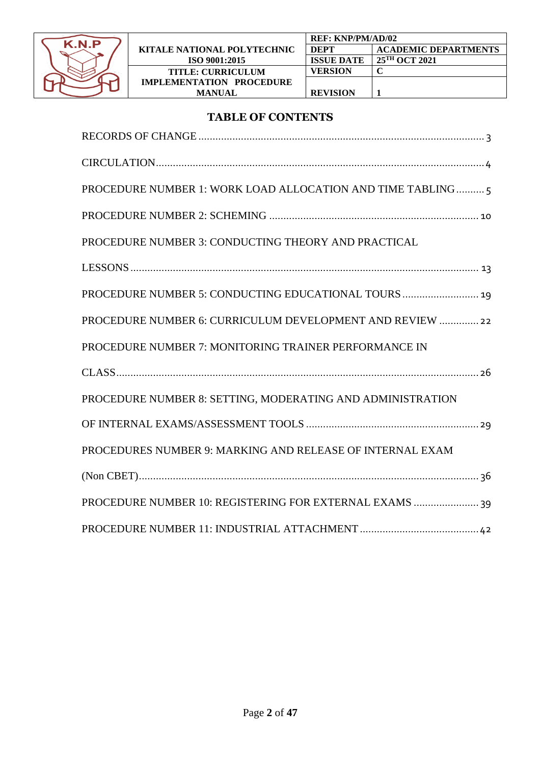

# **TABLE OF CONTENTS**

| PROCEDURE NUMBER 1: WORK LOAD ALLOCATION AND TIME TABLING  |
|------------------------------------------------------------|
|                                                            |
| PROCEDURE NUMBER 3: CONDUCTING THEORY AND PRACTICAL        |
|                                                            |
|                                                            |
| PROCEDURE NUMBER 6: CURRICULUM DEVELOPMENT AND REVIEW  22  |
| PROCEDURE NUMBER 7: MONITORING TRAINER PERFORMANCE IN      |
|                                                            |
| PROCEDURE NUMBER 8: SETTING, MODERATING AND ADMINISTRATION |
|                                                            |
| PROCEDURES NUMBER 9: MARKING AND RELEASE OF INTERNAL EXAM  |
|                                                            |
| PROCEDURE NUMBER 10: REGISTERING FOR EXTERNAL EXAMS  39    |
|                                                            |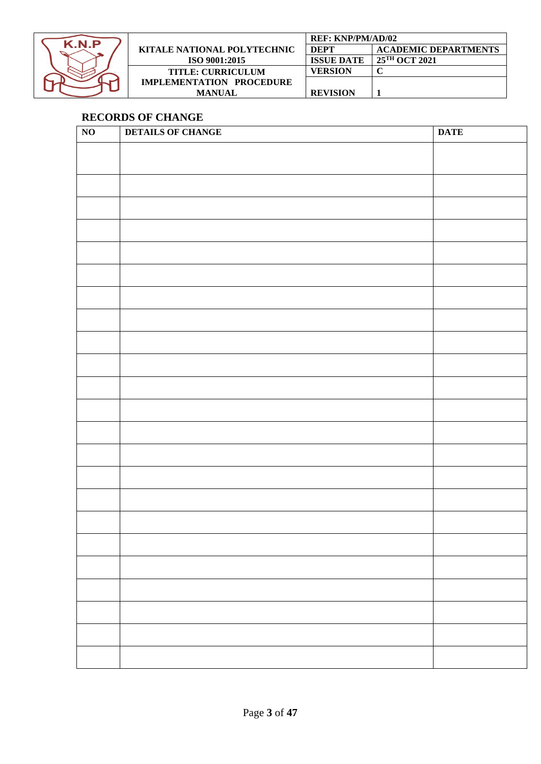

|                             | <b>REF: KNP/PM/AD/02</b> |                             |
|-----------------------------|--------------------------|-----------------------------|
| KITALE NATIONAL POLYTECHNIC | <b>DEPT</b>              | <b>ACADEMIC DEPARTMENTS</b> |
| ISO 9001:2015               | <b>ISSUE DATE</b>        | 25 <sup>TH</sup> OCT 2021   |
| <b>TITLE: CURRICULUM</b>    | VERSION                  |                             |
| IMPLEMENTATION PROCEDURE    |                          |                             |
| <b>MANUAL</b>               | <b>REVISION</b>          |                             |

# <span id="page-2-0"></span>**RECORDS OF CHANGE**

| $\overline{NO}$ | <b>DETAILS OF CHANGE</b> | <b>DATE</b> |
|-----------------|--------------------------|-------------|
|                 |                          |             |
|                 |                          |             |
|                 |                          |             |
|                 |                          |             |
|                 |                          |             |
|                 |                          |             |
|                 |                          |             |
|                 |                          |             |
|                 |                          |             |
|                 |                          |             |
|                 |                          |             |
|                 |                          |             |
|                 |                          |             |
|                 |                          |             |
|                 |                          |             |
|                 |                          |             |
|                 |                          |             |
|                 |                          |             |
|                 |                          |             |
|                 |                          |             |
|                 |                          |             |
|                 |                          |             |
|                 |                          |             |
|                 |                          |             |
|                 |                          |             |
|                 |                          |             |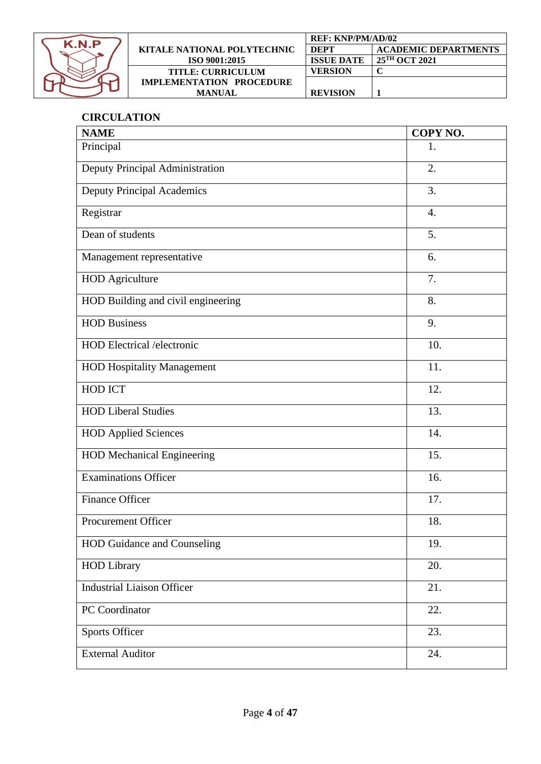

|                                 | <b>REF: KNP/PM/AD/02</b> |                             |
|---------------------------------|--------------------------|-----------------------------|
| KITALE NATIONAL POLYTECHNIC     | <b>DEPT</b>              | <b>ACADEMIC DEPARTMENTS</b> |
| ISO 9001:2015                   | <b>ISSUE DATE</b>        | 25 <sup>TH</sup> OCT 2021   |
| <b>TITLE: CURRICULUM</b>        | <b>VERSION</b>           |                             |
| <b>IMPLEMENTATION PROCEDURE</b> |                          |                             |
| <b>MANUAL</b>                   | <b>REVISION</b>          |                             |

# <span id="page-3-0"></span>**CIRCULATION**

| <b>NAME</b>                        | COPY NO.         |
|------------------------------------|------------------|
| Principal                          | 1.               |
| Deputy Principal Administration    | 2.               |
| <b>Deputy Principal Academics</b>  | $\overline{3}$ . |
| Registrar                          | 4.               |
| Dean of students                   | 5.               |
| Management representative          | 6.               |
| <b>HOD</b> Agriculture             | 7.               |
| HOD Building and civil engineering | 8.               |
| <b>HOD Business</b>                | 9.               |
| <b>HOD</b> Electrical /electronic  | 10.              |
| <b>HOD Hospitality Management</b>  | 11.              |
| <b>HOD ICT</b>                     | 12.              |
| <b>HOD Liberal Studies</b>         | 13.              |
| <b>HOD Applied Sciences</b>        | 14.              |
| <b>HOD Mechanical Engineering</b>  | 15.              |
| <b>Examinations Officer</b>        | 16.              |
| <b>Finance Officer</b>             | 17.              |
| Procurement Officer                | 18.              |
| HOD Guidance and Counseling        | 19.              |
| <b>HOD Library</b>                 | 20.              |
| <b>Industrial Liaison Officer</b>  | 21.              |
| PC Coordinator                     | 22.              |
| <b>Sports Officer</b>              | 23.              |
| <b>External Auditor</b>            | 24.              |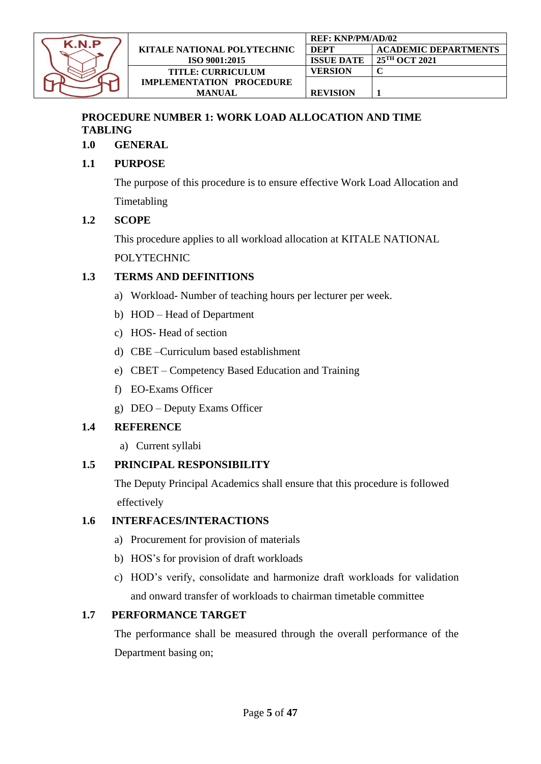

# <span id="page-4-0"></span>**PROCEDURE NUMBER 1: WORK LOAD ALLOCATION AND TIME TABLING**

**1.0 GENERAL** 

# **1.1 PURPOSE**

The purpose of this procedure is to ensure effective Work Load Allocation and Timetabling

# **1.2 SCOPE**

This procedure applies to all workload allocation at KITALE NATIONAL POLYTECHNIC

# **1.3 TERMS AND DEFINITIONS**

- a) Workload- Number of teaching hours per lecturer per week.
- b) HOD Head of Department
- c) HOS- Head of section
- d) CBE –Curriculum based establishment
- e) CBET Competency Based Education and Training
- f) EO-Exams Officer
- g) DEO Deputy Exams Officer

# **1.4 REFERENCE**

a) Current syllabi

# **1.5 PRINCIPAL RESPONSIBILITY**

The Deputy Principal Academics shall ensure that this procedure is followed effectively

## **1.6 INTERFACES/INTERACTIONS**

- a) Procurement for provision of materials
- b) HOS's for provision of draft workloads
- c) HOD's verify, consolidate and harmonize draft workloads for validation and onward transfer of workloads to chairman timetable committee

# **1.7 PERFORMANCE TARGET**

The performance shall be measured through the overall performance of the Department basing on;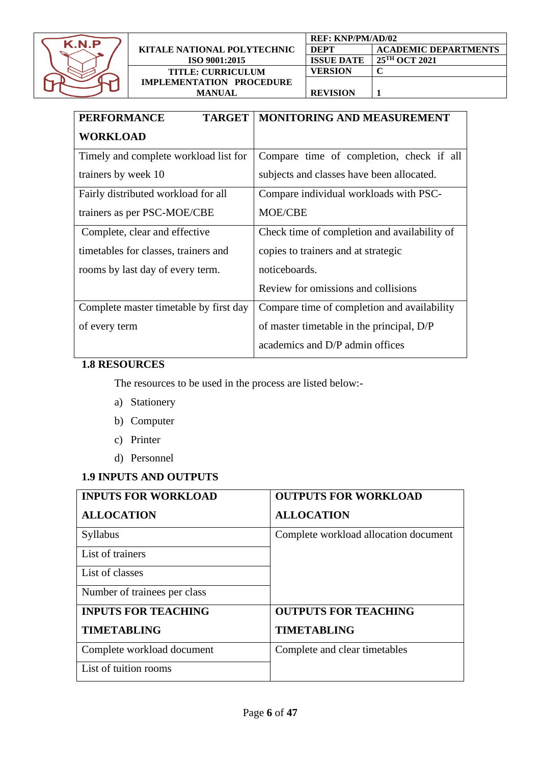

| KITALE NATIONAL POLYTECHNIC<br>ISO 9001:2015 |  |
|----------------------------------------------|--|
| <b>TITLE: CURRICULUM</b>                     |  |
| <b>IMPLEMENTATION PROCEDURE</b>              |  |
| MANUAL                                       |  |

|               | <b>REF: KNP/PM/AD/02</b> |                             |
|---------------|--------------------------|-----------------------------|
| DEPT<br>'HNIC |                          | <b>ACADEMIC DEPARTMENTS</b> |
|               | <b>ISSUE DATE</b>        | 25 <sup>TH</sup> OCT 2021   |
|               | <b>VERSION</b>           |                             |
| NURE          |                          |                             |
|               | <b>REVISION</b>          |                             |

| <b>PERFORMANCE</b><br><b>TARGET</b>    | <b>MONITORING AND MEASUREMENT</b>            |
|----------------------------------------|----------------------------------------------|
| <b>WORKLOAD</b>                        |                                              |
| Timely and complete workload list for  | Compare time of completion, check if all     |
| trainers by week 10                    | subjects and classes have been allocated.    |
| Fairly distributed workload for all    | Compare individual workloads with PSC-       |
| trainers as per PSC-MOE/CBE            | <b>MOE/CBE</b>                               |
| Complete, clear and effective          | Check time of completion and availability of |
| timetables for classes, trainers and   | copies to trainers and at strategic          |
| rooms by last day of every term.       | noticeboards.                                |
|                                        | Review for omissions and collisions          |
| Complete master timetable by first day | Compare time of completion and availability  |
| of every term                          | of master timetable in the principal, D/P    |
|                                        | academics and D/P admin offices              |

# **1.8 RESOURCES**

The resources to be used in the process are listed below:-

- a) Stationery
- b) Computer
- c) Printer
- d) Personnel

# **1.9 INPUTS AND OUTPUTS**

| <b>INPUTS FOR WORKLOAD</b>   | <b>OUTPUTS FOR WORKLOAD</b>           |
|------------------------------|---------------------------------------|
| <b>ALLOCATION</b>            | <b>ALLOCATION</b>                     |
| Syllabus                     | Complete workload allocation document |
| List of trainers             |                                       |
| List of classes              |                                       |
| Number of trainees per class |                                       |
| <b>INPUTS FOR TEACHING</b>   | <b>OUTPUTS FOR TEACHING</b>           |
| <b>TIMETABLING</b>           | <b>TIMETABLING</b>                    |
| Complete workload document   | Complete and clear timetables         |
| List of tuition rooms        |                                       |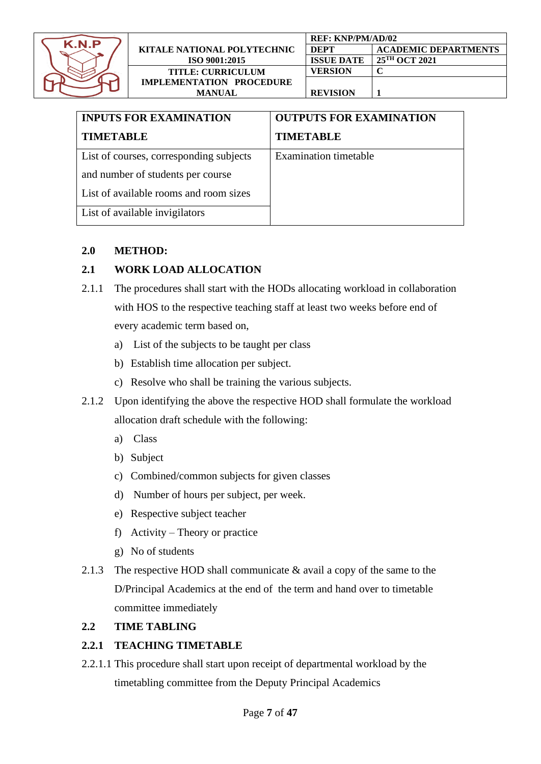

|                             | <b>REF: KNP/PM/AD/02</b> |                             |
|-----------------------------|--------------------------|-----------------------------|
| KITALE NATIONAL POLYTECHNIC | DEPT                     | <b>ACADEMIC DEPARTMENTS</b> |
| ISO 9001:2015               | <b>ISSUE DATE</b>        | 25 <sup>TH</sup> OCT 2021   |
| <b>TITLE: CURRICULUM</b>    | VERSION                  |                             |
| IMPLEMENTATION PROCEDURE    |                          |                             |
| <b>MANUAL</b>               | <b>REVISION</b>          |                             |

| <b>INPUTS FOR EXAMINATION</b>           | <b>OUTPUTS FOR EXAMINATION</b> |  |
|-----------------------------------------|--------------------------------|--|
| <b>TIMETABLE</b>                        | <b>TIMETABLE</b>               |  |
| List of courses, corresponding subjects | <b>Examination timetable</b>   |  |
| and number of students per course       |                                |  |
| List of available rooms and room sizes  |                                |  |
| List of available invigilators          |                                |  |

#### **2.0 METHOD:**

## **2.1 WORK LOAD ALLOCATION**

- 2.1.1 The procedures shall start with the HODs allocating workload in collaboration with HOS to the respective teaching staff at least two weeks before end of every academic term based on,
	- a) List of the subjects to be taught per class
	- b) Establish time allocation per subject.
	- c) Resolve who shall be training the various subjects.
- 2.1.2 Upon identifying the above the respective HOD shall formulate the workload allocation draft schedule with the following:
	- a) Class
	- b) Subject
	- c) Combined/common subjects for given classes
	- d) Number of hours per subject, per week.
	- e) Respective subject teacher
	- f) Activity Theory or practice
	- g) No of students
- 2.1.3 The respective HOD shall communicate & avail a copy of the same to the D/Principal Academics at the end of the term and hand over to timetable committee immediately

## **2.2 TIME TABLING**

## **2.2.1 TEACHING TIMETABLE**

2.2.1.1 This procedure shall start upon receipt of departmental workload by the timetabling committee from the Deputy Principal Academics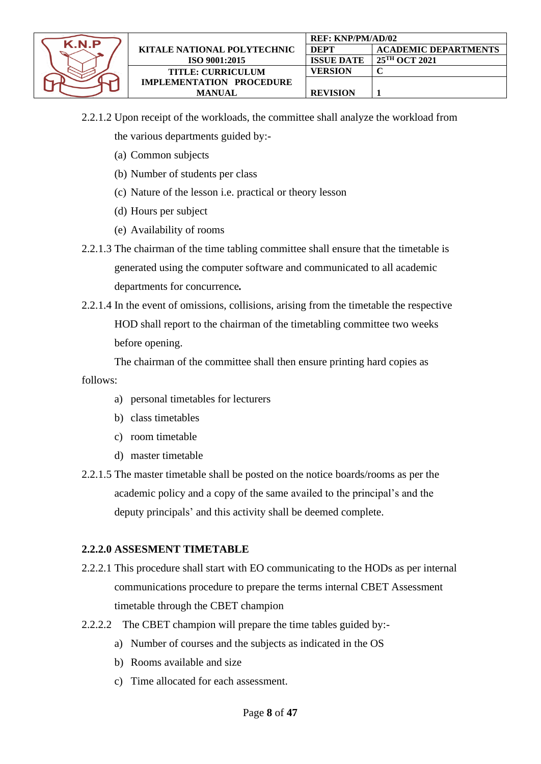

- 2.2.1.2 Upon receipt of the workloads, the committee shall analyze the workload from the various departments guided by:-
	- (a) Common subjects
	- (b) Number of students per class
	- (c) Nature of the lesson i.e. practical or theory lesson
	- (d) Hours per subject
	- (e) Availability of rooms
- 2.2.1.3 The chairman of the time tabling committee shall ensure that the timetable is generated using the computer software and communicated to all academic departments for concurrence*.*
- 2.2.1.4 In the event of omissions, collisions, arising from the timetable the respective HOD shall report to the chairman of the timetabling committee two weeks before opening.

The chairman of the committee shall then ensure printing hard copies as follows:

- a) personal timetables for lecturers
- b) class timetables
- c) room timetable
- d) master timetable
- 2.2.1.5 The master timetable shall be posted on the notice boards/rooms as per the academic policy and a copy of the same availed to the principal's and the deputy principals' and this activity shall be deemed complete.

#### **2.2.2.0 ASSESMENT TIMETABLE**

- 2.2.2.1 This procedure shall start with EO communicating to the HODs as per internal communications procedure to prepare the terms internal CBET Assessment timetable through the CBET champion
- 2.2.2.2 The CBET champion will prepare the time tables guided by:
	- a) Number of courses and the subjects as indicated in the OS
	- b) Rooms available and size
	- c) Time allocated for each assessment.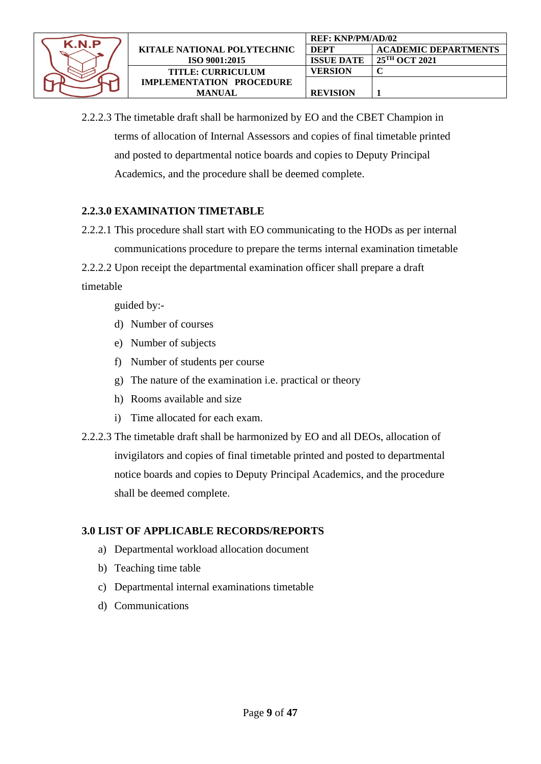

2.2.2.3 The timetable draft shall be harmonized by EO and the CBET Champion in terms of allocation of Internal Assessors and copies of final timetable printed and posted to departmental notice boards and copies to Deputy Principal Academics, and the procedure shall be deemed complete.

#### **2.2.3.0 EXAMINATION TIMETABLE**

- 2.2.2.1 This procedure shall start with EO communicating to the HODs as per internal communications procedure to prepare the terms internal examination timetable
- 2.2.2.2 Upon receipt the departmental examination officer shall prepare a draft

timetable

guided by:-

- d) Number of courses
- e) Number of subjects
- f) Number of students per course
- g) The nature of the examination i.e. practical or theory
- h) Rooms available and size
- i) Time allocated for each exam.
- 2.2.2.3 The timetable draft shall be harmonized by EO and all DEOs, allocation of invigilators and copies of final timetable printed and posted to departmental notice boards and copies to Deputy Principal Academics, and the procedure shall be deemed complete.

## **3.0 LIST OF APPLICABLE RECORDS/REPORTS**

- a) Departmental workload allocation document
- b) Teaching time table
- c) Departmental internal examinations timetable
- d) Communications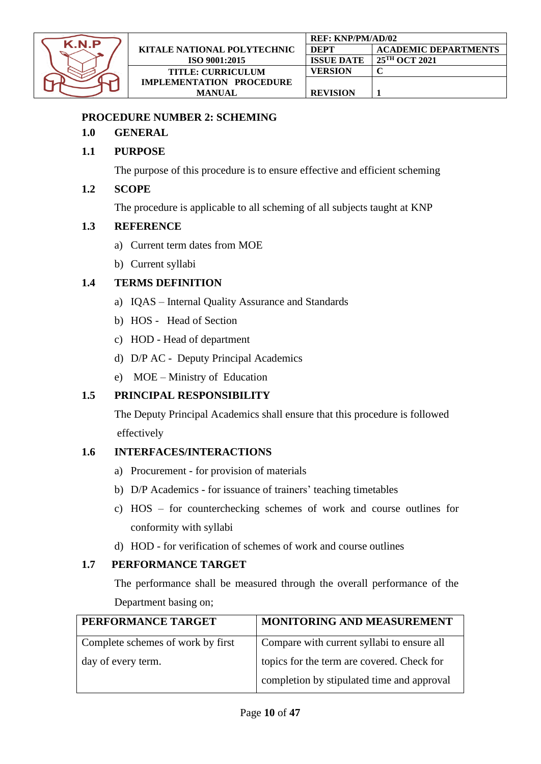

#### <span id="page-9-0"></span>**PROCEDURE NUMBER 2: SCHEMING**

#### **1.0 GENERAL**

## **1.1 PURPOSE**

The purpose of this procedure is to ensure effective and efficient scheming

#### **1.2 SCOPE**

The procedure is applicable to all scheming of all subjects taught at KNP

#### **1.3 REFERENCE**

- a) Current term dates from MOE
- b) Current syllabi

## **1.4 TERMS DEFINITION**

- a) IQAS Internal Quality Assurance and Standards
- b) HOS Head of Section
- c) HOD Head of department
- d) D/P AC Deputy Principal Academics
- e) MOE Ministry of Education

## **1.5 PRINCIPAL RESPONSIBILITY**

The Deputy Principal Academics shall ensure that this procedure is followed effectively

#### **1.6 INTERFACES/INTERACTIONS**

- a) Procurement for provision of materials
- b) D/P Academics for issuance of trainers' teaching timetables
- c) HOS for counterchecking schemes of work and course outlines for conformity with syllabi
- d) HOD for verification of schemes of work and course outlines

#### **1.7 PERFORMANCE TARGET**

The performance shall be measured through the overall performance of the Department basing on;

| PERFORMANCE TARGET                | MONITORING AND MEASUREMENT                 |
|-----------------------------------|--------------------------------------------|
| Complete schemes of work by first | Compare with current syllabi to ensure all |
| day of every term.                | topics for the term are covered. Check for |
|                                   | completion by stipulated time and approval |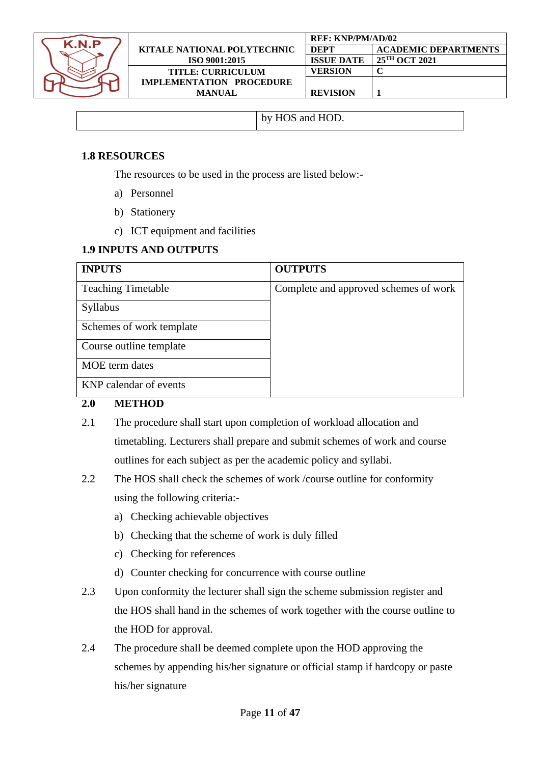

| by HOS and HOD. |
|-----------------|
|-----------------|

#### **1.8 RESOURCES**

The resources to be used in the process are listed below:-

- a) Personnel
- b) Stationery
- c) ICT equipment and facilities

#### **1.9 INPUTS AND OUTPUTS**

| <b>INPUTS</b>             | <b>OUTPUTS</b>                        |
|---------------------------|---------------------------------------|
| <b>Teaching Timetable</b> | Complete and approved schemes of work |
| Syllabus                  |                                       |
| Schemes of work template  |                                       |
| Course outline template   |                                       |
| <b>MOE</b> term dates     |                                       |
| KNP calendar of events    |                                       |

#### **2.0 METHOD**

- 2.1 The procedure shall start upon completion of workload allocation and timetabling. Lecturers shall prepare and submit schemes of work and course outlines for each subject as per the academic policy and syllabi.
- 2.2 The HOS shall check the schemes of work /course outline for conformity using the following criteria:
	- a) Checking achievable objectives
	- b) Checking that the scheme of work is duly filled
	- c) Checking for references
	- d) Counter checking for concurrence with course outline
- 2.3 Upon conformity the lecturer shall sign the scheme submission register and the HOS shall hand in the schemes of work together with the course outline to the HOD for approval.
- 2.4 The procedure shall be deemed complete upon the HOD approving the schemes by appending his/her signature or official stamp if hardcopy or paste his/her signature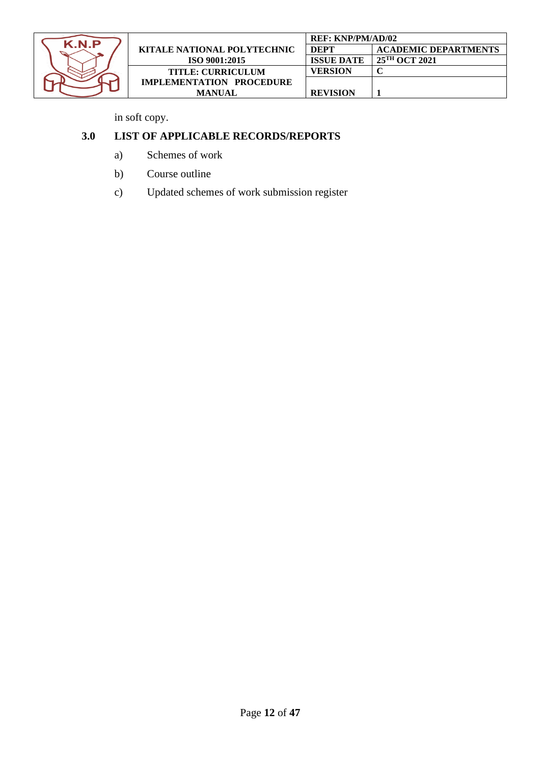

|                                    | <b>REF: KNP/PM/AD/02</b> |                             |
|------------------------------------|--------------------------|-----------------------------|
| <b>KITALE NATIONAL POLYTECHNIC</b> | <b>DEPT</b>              | <b>ACADEMIC DEPARTMENTS</b> |
| ISO 9001:2015                      | <b>ISSUE DATE</b>        | $25^{\text{TH}}$ OCT 2021   |
| <b>TITLE: CURRICULUM</b>           | VERSION                  |                             |
| <b>IMPLEMENTATION PROCEDURE</b>    |                          |                             |
| <b>MANUAL</b>                      | <b>REVISION</b>          |                             |

in soft copy.

# **3.0 LIST OF APPLICABLE RECORDS/REPORTS**

- a) Schemes of work
- b) Course outline
- c) Updated schemes of work submission register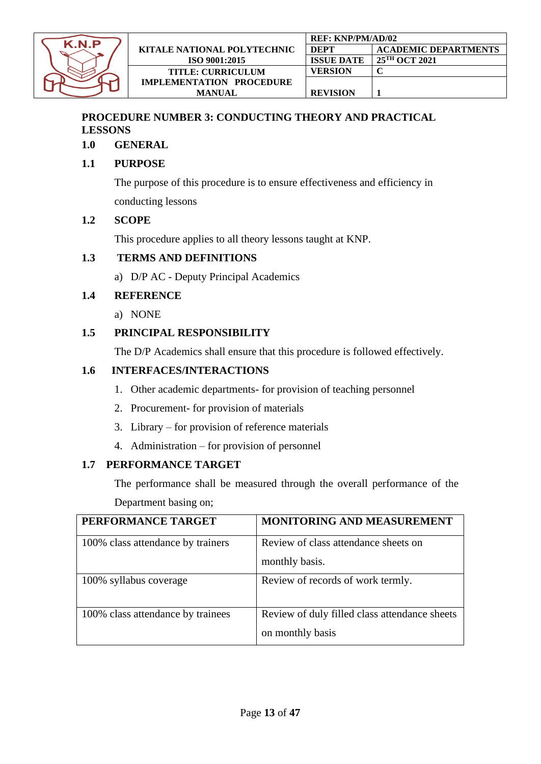

# <span id="page-12-0"></span>**PROCEDURE NUMBER 3: CONDUCTING THEORY AND PRACTICAL LESSONS**

## **1.0 GENERAL**

# **1.1 PURPOSE**

The purpose of this procedure is to ensure effectiveness and efficiency in conducting lessons

# **1.2 SCOPE**

This procedure applies to all theory lessons taught at KNP.

# **1.3 TERMS AND DEFINITIONS**

a) D/P AC - Deputy Principal Academics

## **1.4 REFERENCE**

a) NONE

## **1.5 PRINCIPAL RESPONSIBILITY**

The D/P Academics shall ensure that this procedure is followed effectively.

## **1.6 INTERFACES/INTERACTIONS**

- 1. Other academic departments- for provision of teaching personnel
- 2. Procurement- for provision of materials
- 3. Library for provision of reference materials
- 4. Administration for provision of personnel

## **1.7 PERFORMANCE TARGET**

The performance shall be measured through the overall performance of the Department basing on;

| PERFORMANCE TARGET                | MONITORING AND MEASUREMENT                    |
|-----------------------------------|-----------------------------------------------|
| 100% class attendance by trainers | Review of class attendance sheets on          |
|                                   | monthly basis.                                |
| 100% syllabus coverage            | Review of records of work termly.             |
| 100% class attendance by trainees | Review of duly filled class attendance sheets |
|                                   | on monthly basis                              |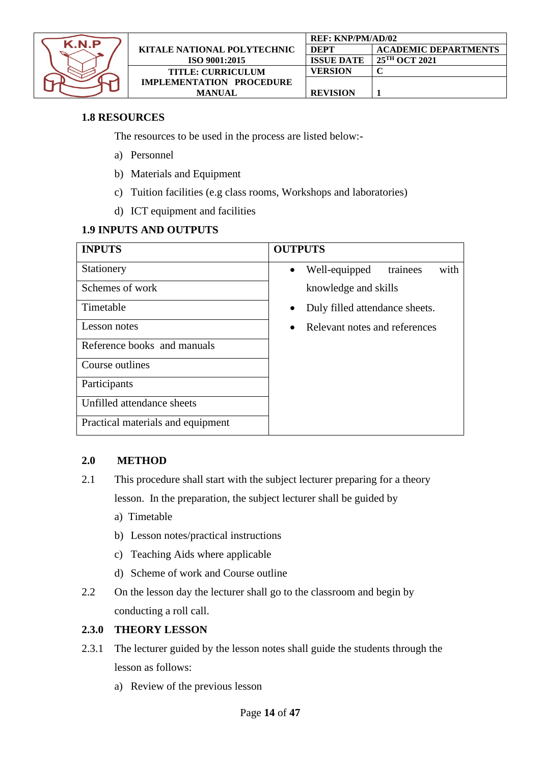

|                                    | <b>REF: KNP/PM/AD/02</b> |                             |
|------------------------------------|--------------------------|-----------------------------|
| <b>KITALE NATIONAL POLYTECHNIC</b> | <b>DEPT</b>              | <b>ACADEMIC DEPARTMENTS</b> |
| ISO 9001:2015                      | <b>ISSUE DATE</b>        | 25 <sup>TH</sup> OCT 2021   |
| <b>TITLE: CURRICULUM</b>           | VERSION                  |                             |
| <b>IMPLEMENTATION PROCEDURE</b>    |                          |                             |
| MANUAL                             | <b>REVISION</b>          |                             |

## **1.8 RESOURCES**

The resources to be used in the process are listed below:-

- a) Personnel
- b) Materials and Equipment
- c) Tuition facilities (e.g class rooms, Workshops and laboratories)
- d) ICT equipment and facilities

#### **1.9 INPUTS AND OUTPUTS**

| <b>INPUTS</b>                     | <b>OUTPUTS</b>                                 |
|-----------------------------------|------------------------------------------------|
| Stationery                        | with<br>Well-equipped<br>trainees<br>$\bullet$ |
| Schemes of work                   | knowledge and skills                           |
| Timetable                         | Duly filled attendance sheets.                 |
| Lesson notes                      | Relevant notes and references                  |
| Reference books and manuals       |                                                |
| Course outlines                   |                                                |
| Participants                      |                                                |
| Unfilled attendance sheets        |                                                |
| Practical materials and equipment |                                                |

#### **2.0 METHOD**

- 2.1 This procedure shall start with the subject lecturer preparing for a theory lesson. In the preparation, the subject lecturer shall be guided by
	- a) Timetable
	- b) Lesson notes/practical instructions
	- c) Teaching Aids where applicable
	- d) Scheme of work and Course outline
- 2.2 On the lesson day the lecturer shall go to the classroom and begin by conducting a roll call.

#### **2.3.0 THEORY LESSON**

- 2.3.1 The lecturer guided by the lesson notes shall guide the students through the lesson as follows:
	- a) Review of the previous lesson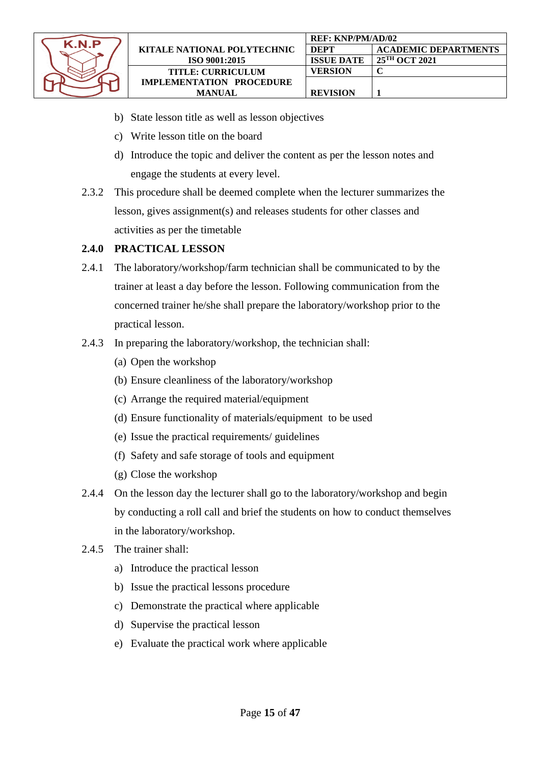

- b) State lesson title as well as lesson objectives
- c) Write lesson title on the board
- d) Introduce the topic and deliver the content as per the lesson notes and engage the students at every level.
- 2.3.2 This procedure shall be deemed complete when the lecturer summarizes the lesson, gives assignment(s) and releases students for other classes and activities as per the timetable

#### **2.4.0 PRACTICAL LESSON**

- 2.4.1 The laboratory/workshop/farm technician shall be communicated to by the trainer at least a day before the lesson. Following communication from the concerned trainer he/she shall prepare the laboratory/workshop prior to the practical lesson.
- 2.4.3 In preparing the laboratory/workshop, the technician shall:
	- (a) Open the workshop
	- (b) Ensure cleanliness of the laboratory/workshop
	- (c) Arrange the required material/equipment
	- (d) Ensure functionality of materials/equipment to be used
	- (e) Issue the practical requirements/ guidelines
	- (f) Safety and safe storage of tools and equipment
	- (g) Close the workshop
- 2.4.4 On the lesson day the lecturer shall go to the laboratory/workshop and begin by conducting a roll call and brief the students on how to conduct themselves in the laboratory/workshop.
- 2.4.5 The trainer shall:
	- a) Introduce the practical lesson
	- b) Issue the practical lessons procedure
	- c) Demonstrate the practical where applicable
	- d) Supervise the practical lesson
	- e) Evaluate the practical work where applicable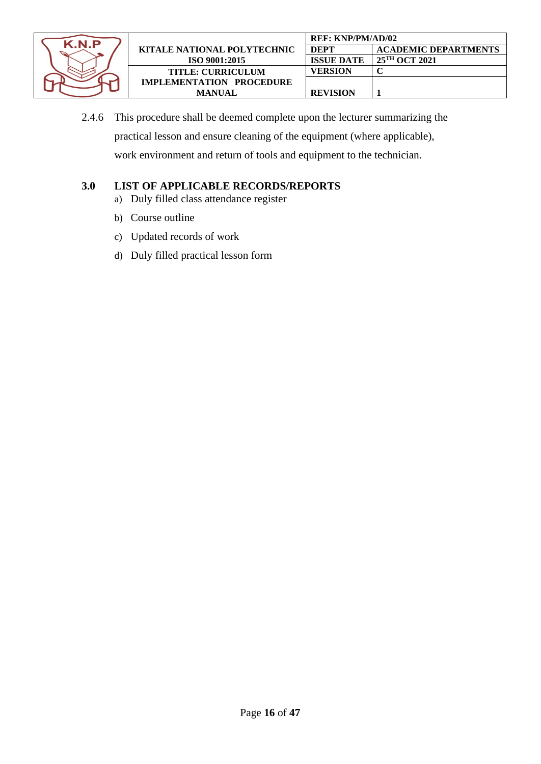

2.4.6 This procedure shall be deemed complete upon the lecturer summarizing the practical lesson and ensure cleaning of the equipment (where applicable), work environment and return of tools and equipment to the technician.

# **3.0 LIST OF APPLICABLE RECORDS/REPORTS**

- a) Duly filled class attendance register
- b) Course outline
- c) Updated records of work
- d) Duly filled practical lesson form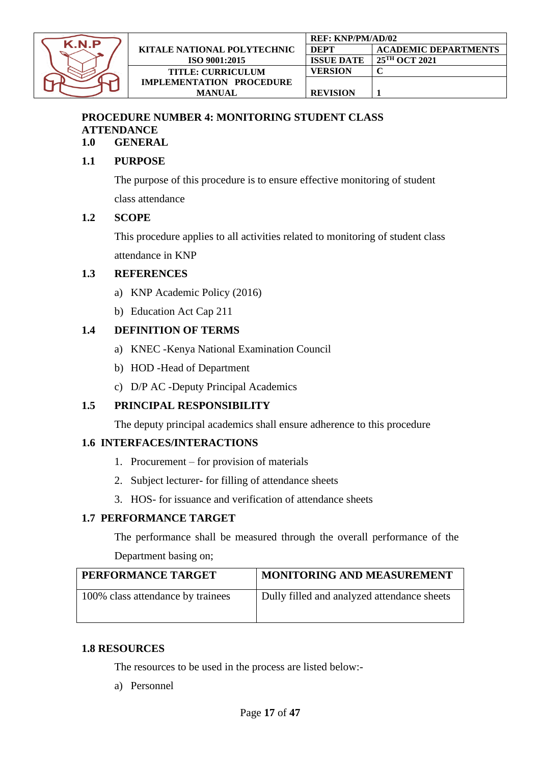

# **PROCEDURE NUMBER 4: MONITORING STUDENT CLASS ATTENDANCE**

**1.0 GENERAL**

## **1.1 PURPOSE**

The purpose of this procedure is to ensure effective monitoring of student class attendance

#### **1.2 SCOPE**

This procedure applies to all activities related to monitoring of student class attendance in KNP

#### **1.3 REFERENCES**

- a) KNP Academic Policy (2016)
- b) Education Act Cap 211

## **1.4 DEFINITION OF TERMS**

- a) KNEC -Kenya National Examination Council
- b) HOD -Head of Department
- c) D/P AC -Deputy Principal Academics

## **1.5 PRINCIPAL RESPONSIBILITY**

The deputy principal academics shall ensure adherence to this procedure

#### **1.6 INTERFACES/INTERACTIONS**

- 1. Procurement for provision of materials
- 2. Subject lecturer- for filling of attendance sheets
- 3. HOS- for issuance and verification of attendance sheets

#### **1.7 PERFORMANCE TARGET**

The performance shall be measured through the overall performance of the Department basing on;

| PERFORMANCE TARGET                | MONITORING AND MEASUREMENT                  |
|-----------------------------------|---------------------------------------------|
| 100% class attendance by trainees | Dully filled and analyzed attendance sheets |

#### **1.8 RESOURCES**

The resources to be used in the process are listed below:-

a) Personnel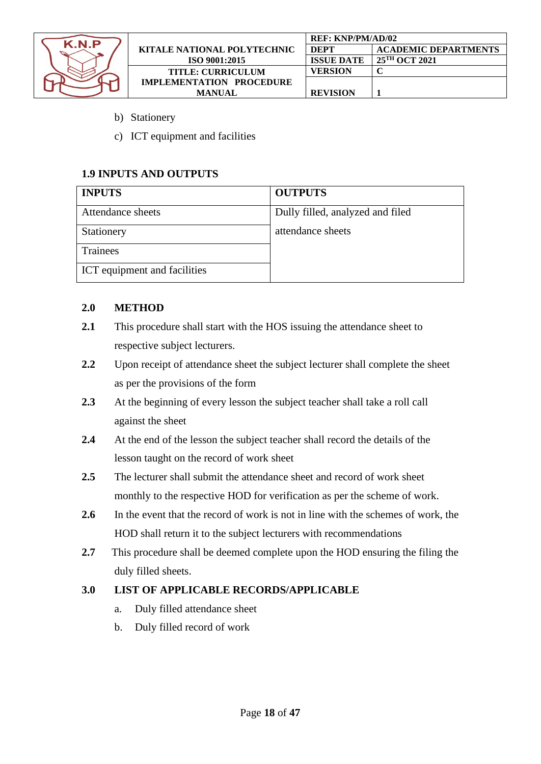

|                                    | <b>REF: KNP/PM/AD/02</b> |                             |
|------------------------------------|--------------------------|-----------------------------|
| <b>KITALE NATIONAL POLYTECHNIC</b> | <b>DEPT</b>              | <b>ACADEMIC DEPARTMENTS</b> |
| ISO 9001:2015                      | <b>ISSUE DATE</b>        | 25 <sup>TH</sup> OCT 2021   |
| <b>TITLE: CURRICULUM</b>           | <b>VERSION</b>           |                             |
| <b>IMPLEMENTATION PROCEDURE</b>    |                          |                             |
| MANUAL                             | <b>REVISION</b>          |                             |

- b) Stationery
- c) ICT equipment and facilities

#### **1.9 INPUTS AND OUTPUTS**

| <b>INPUTS</b>                       | <b>OUTPUTS</b>                   |
|-------------------------------------|----------------------------------|
| Attendance sheets                   | Dully filled, analyzed and filed |
| Stationery                          | attendance sheets                |
| Trainees                            |                                  |
| <b>ICT</b> equipment and facilities |                                  |

#### **2.0 METHOD**

- **2.1** This procedure shall start with the HOS issuing the attendance sheet to respective subject lecturers.
- **2.2** Upon receipt of attendance sheet the subject lecturer shall complete the sheet as per the provisions of the form
- **2.3** At the beginning of every lesson the subject teacher shall take a roll call against the sheet
- **2.4** At the end of the lesson the subject teacher shall record the details of the lesson taught on the record of work sheet
- **2.5** The lecturer shall submit the attendance sheet and record of work sheet monthly to the respective HOD for verification as per the scheme of work.
- 2.6 In the event that the record of work is not in line with the schemes of work, the HOD shall return it to the subject lecturers with recommendations
- **2.7** This procedure shall be deemed complete upon the HOD ensuring the filing the duly filled sheets.

## **3.0 LIST OF APPLICABLE RECORDS/APPLICABLE**

- a. Duly filled attendance sheet
- b. Duly filled record of work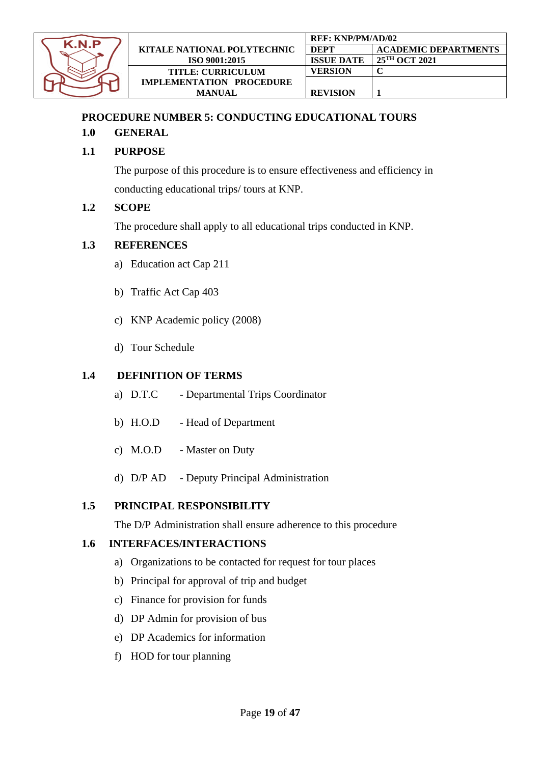

#### <span id="page-18-0"></span>**PROCEDURE NUMBER 5: CONDUCTING EDUCATIONAL TOURS**

#### **1.0 GENERAL**

## **1.1 PURPOSE**

The purpose of this procedure is to ensure effectiveness and efficiency in conducting educational trips/ tours at KNP.

#### **1.2 SCOPE**

The procedure shall apply to all educational trips conducted in KNP.

#### **1.3 REFERENCES**

- a) Education act Cap 211
- b) Traffic Act Cap 403
- c) KNP Academic policy (2008)
- d) Tour Schedule

#### **1.4 DEFINITION OF TERMS**

- a) D.T.C Departmental Trips Coordinator
- b) H.O.D Head of Department
- c) M.O.D Master on Duty
- d) D/P AD Deputy Principal Administration

#### **1.5 PRINCIPAL RESPONSIBILITY**

The D/P Administration shall ensure adherence to this procedure

## **1.6 INTERFACES/INTERACTIONS**

- a) Organizations to be contacted for request for tour places
- b) Principal for approval of trip and budget
- c) Finance for provision for funds
- d) DP Admin for provision of bus
- e) DP Academics for information
- f) HOD for tour planning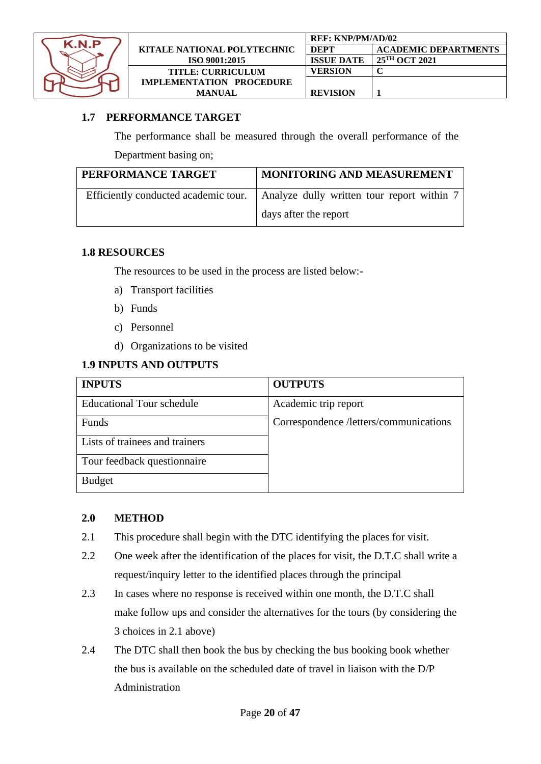

|                                    | <b>REF: KNP/PM/AD/02</b> |                             |
|------------------------------------|--------------------------|-----------------------------|
| <b>KITALE NATIONAL POLYTECHNIC</b> | DEPT                     | <b>ACADEMIC DEPARTMENTS</b> |
| ISO 9001:2015                      | <b>ISSUE DATE</b>        | $125^{\text{TH}}$ OCT 2021  |
| <b>TITLE: CURRICULUM</b>           | VERSION                  |                             |
| <b>IMPLEMENTATION PROCEDURE</b>    |                          |                             |
| <b>MANUAL</b>                      | <b>REVISION</b>          |                             |

#### **1.7 PERFORMANCE TARGET**

The performance shall be measured through the overall performance of the

Department basing on;

| PERFORMANCE TARGET                   | <b>MONITORING AND MEASUREMENT</b>          |
|--------------------------------------|--------------------------------------------|
| Efficiently conducted academic tour. | Analyze dully written tour report within 7 |
|                                      | days after the report                      |

#### **1.8 RESOURCES**

The resources to be used in the process are listed below:-

- a) Transport facilities
- b) Funds
- c) Personnel
- d) Organizations to be visited

#### **1.9 INPUTS AND OUTPUTS**

| <b>INPUTS</b>                    | <b>OUTPUTS</b>                         |
|----------------------------------|----------------------------------------|
| <b>Educational Tour schedule</b> | Academic trip report                   |
| Funds                            | Correspondence /letters/communications |
| Lists of trainees and trainers   |                                        |
| Tour feedback questionnaire      |                                        |
| <b>Budget</b>                    |                                        |

#### **2.0 METHOD**

- 2.1 This procedure shall begin with the DTC identifying the places for visit.
- 2.2 One week after the identification of the places for visit, the D.T.C shall write a request/inquiry letter to the identified places through the principal
- 2.3 In cases where no response is received within one month, the D.T.C shall make follow ups and consider the alternatives for the tours (by considering the 3 choices in 2.1 above)
- 2.4 The DTC shall then book the bus by checking the bus booking book whether the bus is available on the scheduled date of travel in liaison with the D/P Administration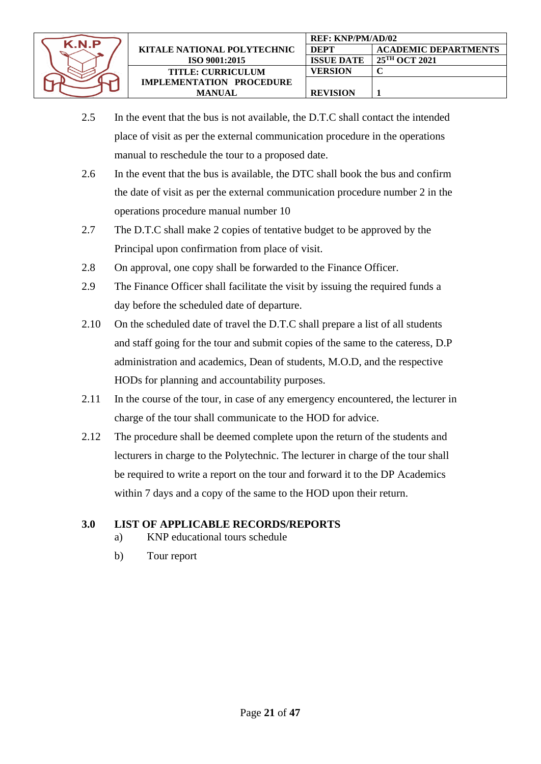

- 2.5 In the event that the bus is not available, the D.T.C shall contact the intended place of visit as per the external communication procedure in the operations manual to reschedule the tour to a proposed date.
- 2.6 In the event that the bus is available, the DTC shall book the bus and confirm the date of visit as per the external communication procedure number 2 in the operations procedure manual number 10
- 2.7 The D.T.C shall make 2 copies of tentative budget to be approved by the Principal upon confirmation from place of visit.
- 2.8 On approval, one copy shall be forwarded to the Finance Officer.
- 2.9 The Finance Officer shall facilitate the visit by issuing the required funds a day before the scheduled date of departure.
- 2.10 On the scheduled date of travel the D.T.C shall prepare a list of all students and staff going for the tour and submit copies of the same to the cateress, D.P administration and academics, Dean of students, M.O.D, and the respective HODs for planning and accountability purposes.
- 2.11 In the course of the tour, in case of any emergency encountered, the lecturer in charge of the tour shall communicate to the HOD for advice.
- 2.12 The procedure shall be deemed complete upon the return of the students and lecturers in charge to the Polytechnic. The lecturer in charge of the tour shall be required to write a report on the tour and forward it to the DP Academics within 7 days and a copy of the same to the HOD upon their return.

## **3.0 LIST OF APPLICABLE RECORDS/REPORTS**

- a) KNP educational tours schedule
- b) Tour report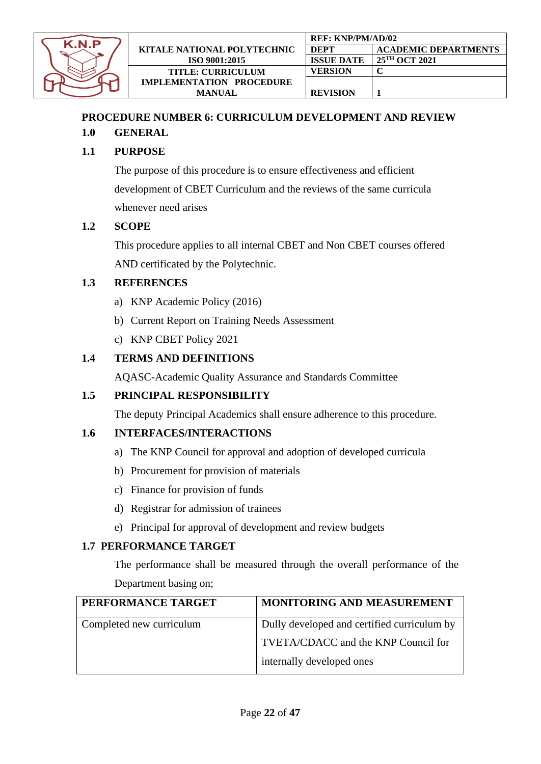

# <span id="page-21-0"></span>**PROCEDURE NUMBER 6: CURRICULUM DEVELOPMENT AND REVIEW**

# **1.0 GENERAL**

# **1.1 PURPOSE**

The purpose of this procedure is to ensure effectiveness and efficient development of CBET Curriculum and the reviews of the same curricula whenever need arises

#### **1.2 SCOPE**

This procedure applies to all internal CBET and Non CBET courses offered AND certificated by the Polytechnic.

#### **1.3 REFERENCES**

- a) KNP Academic Policy (2016)
- b) Current Report on Training Needs Assessment
- c) KNP CBET Policy 2021

## **1.4 TERMS AND DEFINITIONS**

AQASC-Academic Quality Assurance and Standards Committee

#### **1.5 PRINCIPAL RESPONSIBILITY**

The deputy Principal Academics shall ensure adherence to this procedure.

#### **1.6 INTERFACES/INTERACTIONS**

- a) The KNP Council for approval and adoption of developed curricula
- b) Procurement for provision of materials
- c) Finance for provision of funds
- d) Registrar for admission of trainees
- e) Principal for approval of development and review budgets

#### **1.7 PERFORMANCE TARGET**

The performance shall be measured through the overall performance of the Department basing on;

| PERFORMANCE TARGET       | <b>MONITORING AND MEASUREMENT</b>           |
|--------------------------|---------------------------------------------|
| Completed new curriculum | Dully developed and certified curriculum by |
|                          | TVETA/CDACC and the KNP Council for         |
|                          | internally developed ones                   |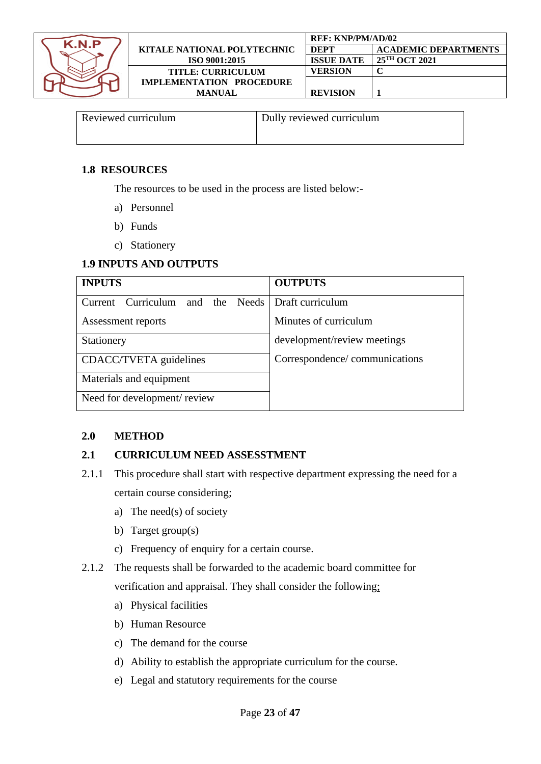

| Reviewed curriculum | Dully reviewed curriculum |
|---------------------|---------------------------|
|                     |                           |

#### **1.8 RESOURCES**

The resources to be used in the process are listed below:-

- a) Personnel
- b) Funds
- c) Stationery

#### **1.9 INPUTS AND OUTPUTS**

| <b>INPUTS</b>                                     | <b>OUTPUTS</b>                |
|---------------------------------------------------|-------------------------------|
| Current Curriculum and the Needs Draft curriculum |                               |
| Assessment reports                                | Minutes of curriculum         |
| Stationery                                        | development/review meetings   |
| CDACC/TVETA guidelines                            | Correspondence/communications |
| Materials and equipment                           |                               |
| Need for development/review                       |                               |

## **2.0 METHOD**

#### **2.1 CURRICULUM NEED ASSESSTMENT**

- 2.1.1 This procedure shall start with respective department expressing the need for a certain course considering;
	- a) The need(s) of society
	- b) Target group(s)
	- c) Frequency of enquiry for a certain course.
- 2.1.2 The requests shall be forwarded to the academic board committee for verification and appraisal. They shall consider the following;
	- a) Physical facilities
	- b) Human Resource
	- c) The demand for the course
	- d) Ability to establish the appropriate curriculum for the course.
	- e) Legal and statutory requirements for the course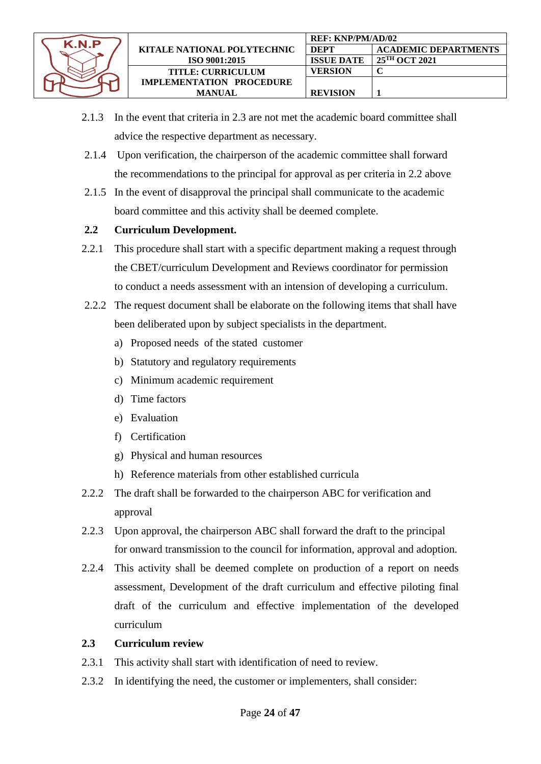

- 2.1.3 In the event that criteria in 2.3 are not met the academic board committee shall advice the respective department as necessary.
- 2.1.4 Upon verification, the chairperson of the academic committee shall forward the recommendations to the principal for approval as per criteria in 2.2 above
- 2.1.5 In the event of disapproval the principal shall communicate to the academic board committee and this activity shall be deemed complete.

## **2.2 Curriculum Development.**

- 2.2.1 This procedure shall start with a specific department making a request through the CBET/curriculum Development and Reviews coordinator for permission to conduct a needs assessment with an intension of developing a curriculum.
- 2.2.2 The request document shall be elaborate on the following items that shall have been deliberated upon by subject specialists in the department.
	- a) Proposed needs of the stated customer
	- b) Statutory and regulatory requirements
	- c) Minimum academic requirement
	- d) Time factors
	- e) Evaluation
	- f) Certification
	- g) Physical and human resources
	- h) Reference materials from other established curricula
- 2.2.2 The draft shall be forwarded to the chairperson ABC for verification and approval
- 2.2.3 Upon approval, the chairperson ABC shall forward the draft to the principal for onward transmission to the council for information, approval and adoption.
- 2.2.4 This activity shall be deemed complete on production of a report on needs assessment, Development of the draft curriculum and effective piloting final draft of the curriculum and effective implementation of the developed curriculum

## **2.3 Curriculum review**

- 2.3.1 This activity shall start with identification of need to review.
- 2.3.2 In identifying the need, the customer or implementers, shall consider: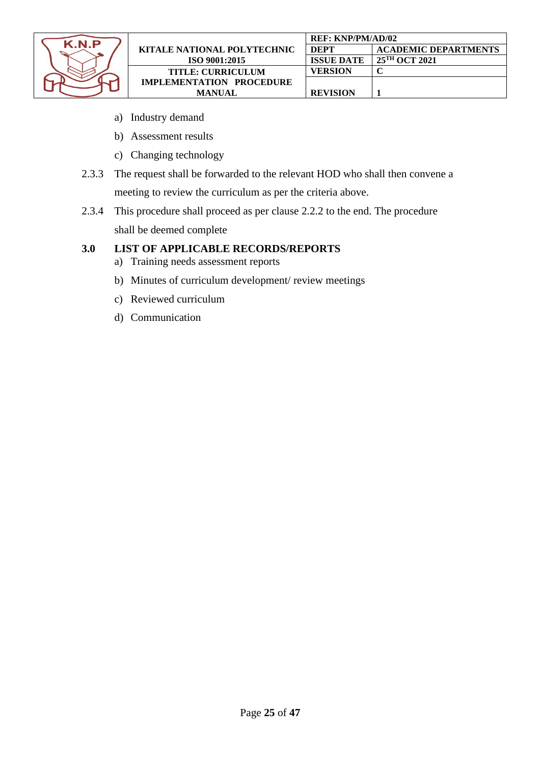

- a) Industry demand
- b) Assessment results
- c) Changing technology
- 2.3.3 The request shall be forwarded to the relevant HOD who shall then convene a meeting to review the curriculum as per the criteria above.
- 2.3.4 This procedure shall proceed as per clause 2.2.2 to the end. The procedure shall be deemed complete

#### **3.0 LIST OF APPLICABLE RECORDS/REPORTS**

- a) Training needs assessment reports
- b) Minutes of curriculum development/ review meetings
- c) Reviewed curriculum
- d) Communication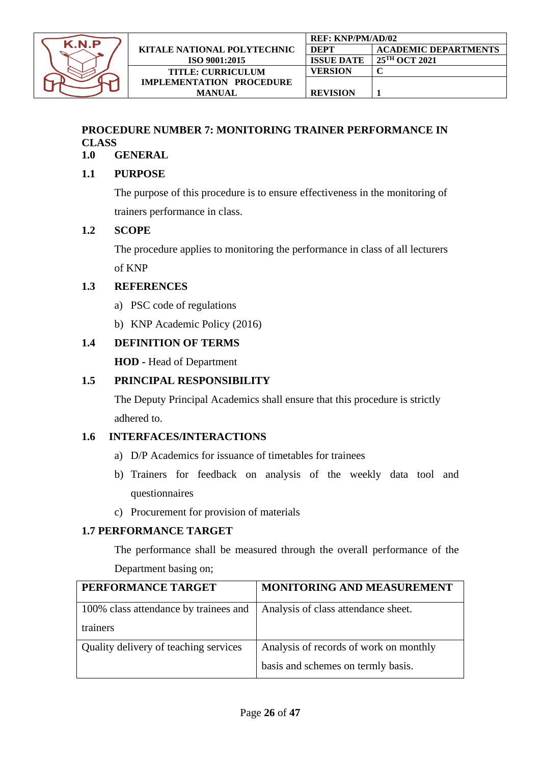

# <span id="page-25-0"></span>**PROCEDURE NUMBER 7: MONITORING TRAINER PERFORMANCE IN CLASS**

# **1.0 GENERAL**

#### **1.1 PURPOSE**

The purpose of this procedure is to ensure effectiveness in the monitoring of trainers performance in class.

#### **1.2 SCOPE**

The procedure applies to monitoring the performance in class of all lecturers of KNP

## **1.3 REFERENCES**

- a) PSC code of regulations
- b) KNP Academic Policy (2016)

## **1.4 DEFINITION OF TERMS**

**HOD -** Head of Department

#### **1.5 PRINCIPAL RESPONSIBILITY**

The Deputy Principal Academics shall ensure that this procedure is strictly adhered to.

#### **1.6 INTERFACES/INTERACTIONS**

- a) D/P Academics for issuance of timetables for trainees
- b) Trainers for feedback on analysis of the weekly data tool and questionnaires
- c) Procurement for provision of materials

#### **1.7 PERFORMANCE TARGET**

The performance shall be measured through the overall performance of the Department basing on;

| PERFORMANCE TARGET                                | <b>MONITORING AND MEASUREMENT</b>                                            |
|---------------------------------------------------|------------------------------------------------------------------------------|
| 100% class attendance by trainees and<br>trainers | Analysis of class attendance sheet.                                          |
| Quality delivery of teaching services             | Analysis of records of work on monthly<br>basis and schemes on termly basis. |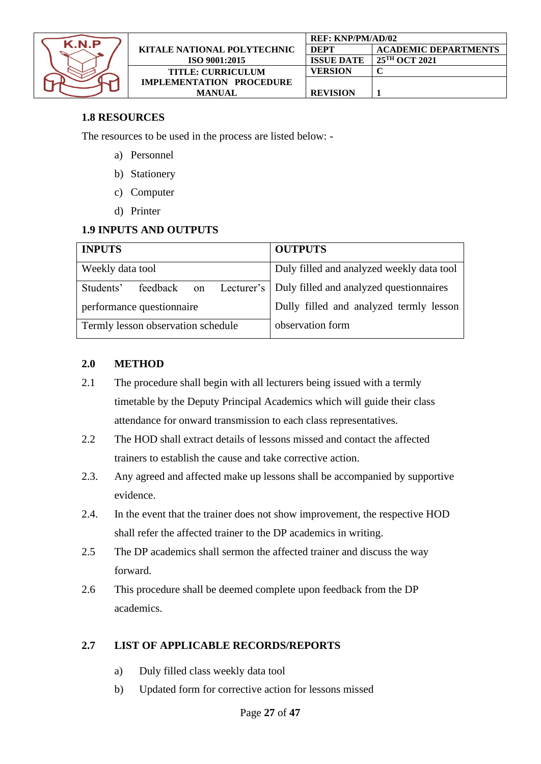

|                                    | <b>REF: KNP/PM/AD/02</b> |                             |  |
|------------------------------------|--------------------------|-----------------------------|--|
| <b>KITALE NATIONAL POLYTECHNIC</b> | <b>DEPT</b>              | <b>ACADEMIC DEPARTMENTS</b> |  |
| ISO 9001:2015                      | <b>ISSUE DATE</b>        | 25 <sup>TH</sup> OCT 2021   |  |
| <b>TITLE: CURRICULUM</b>           | VERSION                  |                             |  |
| <b>IMPLEMENTATION PROCEDURE</b>    |                          |                             |  |
| <b>MANUAL</b>                      | <b>REVISION</b>          |                             |  |

## **1.8 RESOURCES**

The resources to be used in the process are listed below: -

- a) Personnel
- b) Stationery
- c) Computer
- d) Printer

## **1.9 INPUTS AND OUTPUTS**

| <b>INPUTS</b>                      | <b>OUTPUTS</b>                                                   |
|------------------------------------|------------------------------------------------------------------|
| Weekly data tool                   | Duly filled and analyzed weekly data tool                        |
| Students'                          | feedback on Lecturer's   Duly filled and analyzed questionnaires |
| performance questionnaire          | Dully filled and analyzed termly lesson                          |
| Termly lesson observation schedule | observation form                                                 |

#### **2.0 METHOD**

- 2.1 The procedure shall begin with all lecturers being issued with a termly timetable by the Deputy Principal Academics which will guide their class attendance for onward transmission to each class representatives.
- 2.2 The HOD shall extract details of lessons missed and contact the affected trainers to establish the cause and take corrective action.
- 2.3. Any agreed and affected make up lessons shall be accompanied by supportive evidence.
- 2.4. In the event that the trainer does not show improvement, the respective HOD shall refer the affected trainer to the DP academics in writing.
- 2.5 The DP academics shall sermon the affected trainer and discuss the way forward.
- 2.6 This procedure shall be deemed complete upon feedback from the DP academics.

## **2.7 LIST OF APPLICABLE RECORDS/REPORTS**

- a) Duly filled class weekly data tool
- b) Updated form for corrective action for lessons missed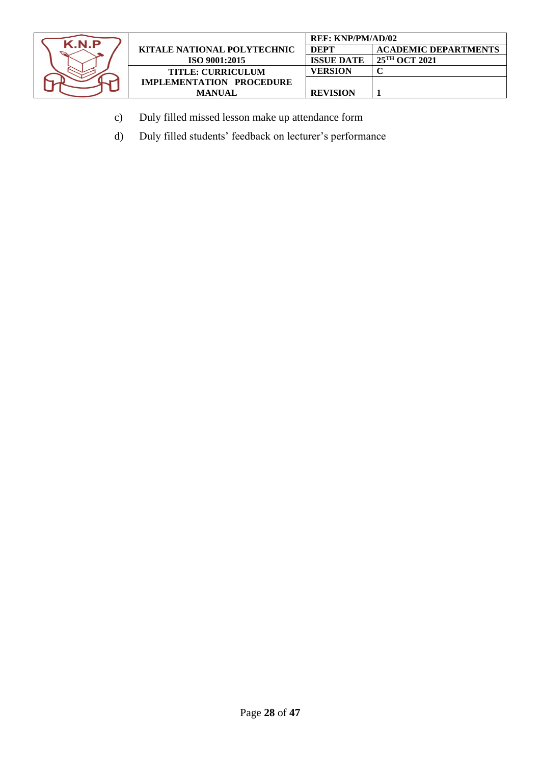

|                                    | <b>REF: KNP/PM/AD/02</b> |                             |  |
|------------------------------------|--------------------------|-----------------------------|--|
| <b>KITALE NATIONAL POLYTECHNIC</b> | <b>DEPT</b>              | <b>ACADEMIC DEPARTMENTS</b> |  |
| ISO 9001:2015                      | <b>ISSUE DATE</b>        | 25 <sup>TH</sup> OCT 2021   |  |
| <b>TITLE: CURRICULUM</b>           | VERSION                  |                             |  |
| <b>IMPLEMENTATION PROCEDURE</b>    |                          |                             |  |
| <b>MANUAL</b>                      | <b>REVISION</b>          |                             |  |

- c) Duly filled missed lesson make up attendance form
- d) Duly filled students' feedback on lecturer's performance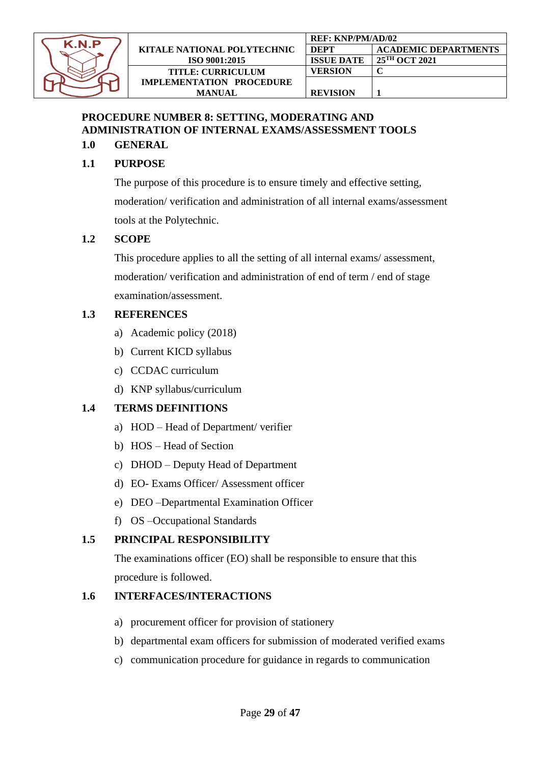

# <span id="page-28-0"></span>**PROCEDURE NUMBER 8: SETTING, MODERATING AND ADMINISTRATION OF INTERNAL EXAMS/ASSESSMENT TOOLS**

## **1.0 GENERAL**

# **1.1 PURPOSE**

The purpose of this procedure is to ensure timely and effective setting, moderation/ verification and administration of all internal exams/assessment tools at the Polytechnic.

## **1.2 SCOPE**

This procedure applies to all the setting of all internal exams/ assessment, moderation/ verification and administration of end of term / end of stage examination/assessment.

## **1.3 REFERENCES**

- a) Academic policy (2018)
- b) Current KICD syllabus
- c) CCDAC curriculum
- d) KNP syllabus/curriculum

# **1.4 TERMS DEFINITIONS**

- a) HOD Head of Department/ verifier
- b) HOS Head of Section
- c) DHOD Deputy Head of Department
- d) EO- Exams Officer/ Assessment officer
- e) DEO –Departmental Examination Officer
- f) OS –Occupational Standards

# **1.5 PRINCIPAL RESPONSIBILITY**

The examinations officer (EO) shall be responsible to ensure that this procedure is followed.

## **1.6 INTERFACES/INTERACTIONS**

- a) procurement officer for provision of stationery
- b) departmental exam officers for submission of moderated verified exams
- c) communication procedure for guidance in regards to communication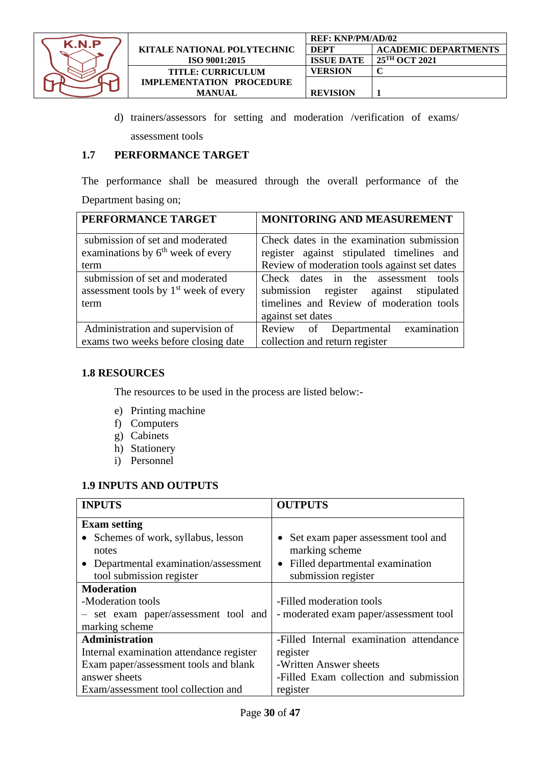

|                             | <b>REF: KNP/PM/AD/02</b> |                             |  |
|-----------------------------|--------------------------|-----------------------------|--|
| KITALE NATIONAL POLYTECHNIC | <b>DEPT</b>              | <b>ACADEMIC DEPARTMENTS</b> |  |
| ISO 9001:2015               | <b>ISSUE DATE</b>        | $25^{\text{TH}}$ OCT 2021   |  |
| <b>TITLE: CURRICULUM</b>    | VERSION                  |                             |  |
| IMPLEMENTATION PROCEDURE    |                          |                             |  |
| <b>MANUAL</b>               | <b>REVISION</b>          |                             |  |

d) trainers/assessors for setting and moderation /verification of exams/ assessment tools

#### **1.7 PERFORMANCE TARGET**

The performance shall be measured through the overall performance of the Department basing on;

| PERFORMANCE TARGET                      | <b>MONITORING AND MEASUREMENT</b>            |
|-----------------------------------------|----------------------------------------------|
| submission of set and moderated         | Check dates in the examination submission    |
| examinations by $6th$ week of every     | register against stipulated timelines and    |
| term                                    | Review of moderation tools against set dates |
| submission of set and moderated         | Check dates in the assessment tools          |
| assessment tools by $1st$ week of every | submission register against stipulated       |
| term                                    | timelines and Review of moderation tools     |
|                                         | against set dates                            |
| Administration and supervision of       | Review of Departmental examination           |
| exams two weeks before closing date     | collection and return register               |

#### **1.8 RESOURCES**

The resources to be used in the process are listed below:-

- e) Printing machine
- f) Computers
- g) Cabinets
- h) Stationery
- i) Personnel

#### **1.9 INPUTS AND OUTPUTS**

| <b>INPUTS</b>                            | <b>OUTPUTS</b>                                  |
|------------------------------------------|-------------------------------------------------|
| <b>Exam setting</b>                      |                                                 |
| • Schemes of work, syllabus, lesson      | Set exam paper assessment tool and<br>$\bullet$ |
| notes                                    | marking scheme                                  |
| • Departmental examination/assessment    | • Filled departmental examination               |
| tool submission register                 | submission register                             |
| <b>Moderation</b>                        |                                                 |
| -Moderation tools                        | -Filled moderation tools                        |
| - set exam paper/assessment tool and     | - moderated exam paper/assessment tool          |
| marking scheme                           |                                                 |
| Administration                           | -Filled Internal examination attendance         |
| Internal examination attendance register | register                                        |
| Exam paper/assessment tools and blank    | -Written Answer sheets                          |
| answer sheets                            | -Filled Exam collection and submission          |
| Exam/assessment tool collection and      | register                                        |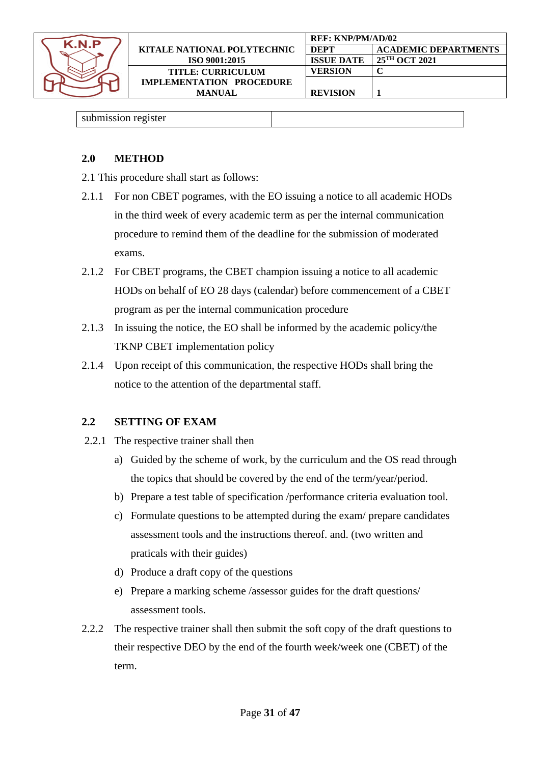

#### submission register

| <b>METHOD</b><br>2.0 |  |
|----------------------|--|
|----------------------|--|

- 2.1 This procedure shall start as follows:
- 2.1.1 For non CBET pogrames, with the EO issuing a notice to all academic HODs in the third week of every academic term as per the internal communication procedure to remind them of the deadline for the submission of moderated exams.
- 2.1.2 For CBET programs, the CBET champion issuing a notice to all academic HODs on behalf of EO 28 days (calendar) before commencement of a CBET program as per the internal communication procedure
- 2.1.3 In issuing the notice, the EO shall be informed by the academic policy/the TKNP CBET implementation policy
- 2.1.4 Upon receipt of this communication, the respective HODs shall bring the notice to the attention of the departmental staff.

## **2.2 SETTING OF EXAM**

- 2.2.1 The respective trainer shall then
	- a) Guided by the scheme of work, by the curriculum and the OS read through the topics that should be covered by the end of the term/year/period.
	- b) Prepare a test table of specification /performance criteria evaluation tool.
	- c) Formulate questions to be attempted during the exam/ prepare candidates assessment tools and the instructions thereof. and. (two written and praticals with their guides)
	- d) Produce a draft copy of the questions
	- e) Prepare a marking scheme /assessor guides for the draft questions/ assessment tools.
- 2.2.2 The respective trainer shall then submit the soft copy of the draft questions to their respective DEO by the end of the fourth week/week one (CBET) of the term.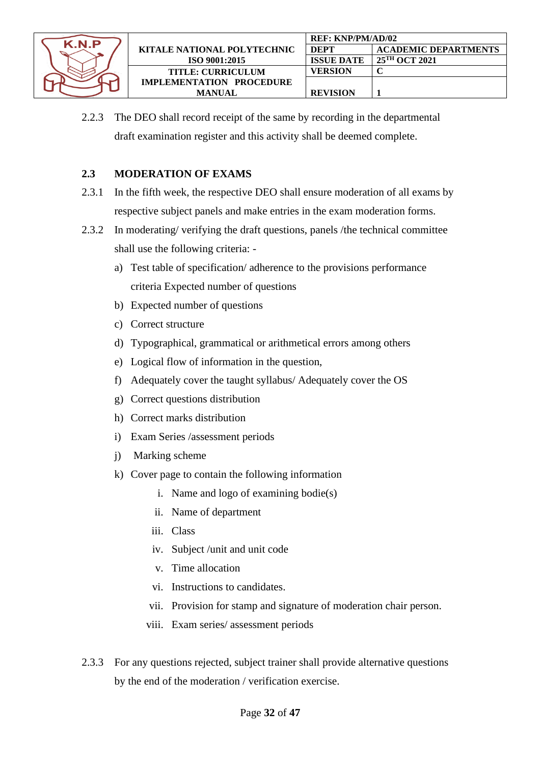

2.2.3 The DEO shall record receipt of the same by recording in the departmental draft examination register and this activity shall be deemed complete.

#### **2.3 MODERATION OF EXAMS**

- 2.3.1 In the fifth week, the respective DEO shall ensure moderation of all exams by respective subject panels and make entries in the exam moderation forms.
- 2.3.2 In moderating/ verifying the draft questions, panels /the technical committee shall use the following criteria:
	- a) Test table of specification/ adherence to the provisions performance criteria Expected number of questions
	- b) Expected number of questions
	- c) Correct structure
	- d) Typographical, grammatical or arithmetical errors among others
	- e) Logical flow of information in the question,
	- f) Adequately cover the taught syllabus/ Adequately cover the OS
	- g) Correct questions distribution
	- h) Correct marks distribution
	- i) Exam Series /assessment periods
	- j) Marking scheme
	- k) Cover page to contain the following information
		- i. Name and logo of examining bodie(s)
		- ii. Name of department
		- iii. Class
		- iv. Subject /unit and unit code
		- v. Time allocation
		- vi. Instructions to candidates.
		- vii. Provision for stamp and signature of moderation chair person.
		- viii. Exam series/ assessment periods
- 2.3.3 For any questions rejected, subject trainer shall provide alternative questions by the end of the moderation / verification exercise.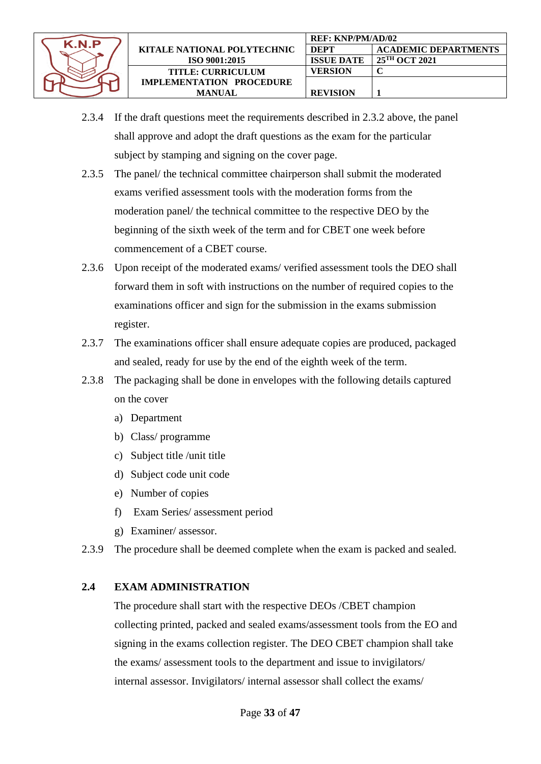

- 2.3.4 If the draft questions meet the requirements described in 2.3.2 above, the panel shall approve and adopt the draft questions as the exam for the particular subject by stamping and signing on the cover page.
- 2.3.5 The panel/ the technical committee chairperson shall submit the moderated exams verified assessment tools with the moderation forms from the moderation panel/ the technical committee to the respective DEO by the beginning of the sixth week of the term and for CBET one week before commencement of a CBET course.
- 2.3.6 Upon receipt of the moderated exams/ verified assessment tools the DEO shall forward them in soft with instructions on the number of required copies to the examinations officer and sign for the submission in the exams submission register.
- 2.3.7 The examinations officer shall ensure adequate copies are produced, packaged and sealed, ready for use by the end of the eighth week of the term.
- 2.3.8 The packaging shall be done in envelopes with the following details captured on the cover
	- a) Department
	- b) Class/ programme
	- c) Subject title /unit title
	- d) Subject code unit code
	- e) Number of copies
	- f) Exam Series/ assessment period
	- g) Examiner/ assessor.

2.3.9 The procedure shall be deemed complete when the exam is packed and sealed.

# **2.4 EXAM ADMINISTRATION**

The procedure shall start with the respective DEOs /CBET champion collecting printed, packed and sealed exams/assessment tools from the EO and signing in the exams collection register. The DEO CBET champion shall take the exams/ assessment tools to the department and issue to invigilators/ internal assessor. Invigilators/ internal assessor shall collect the exams/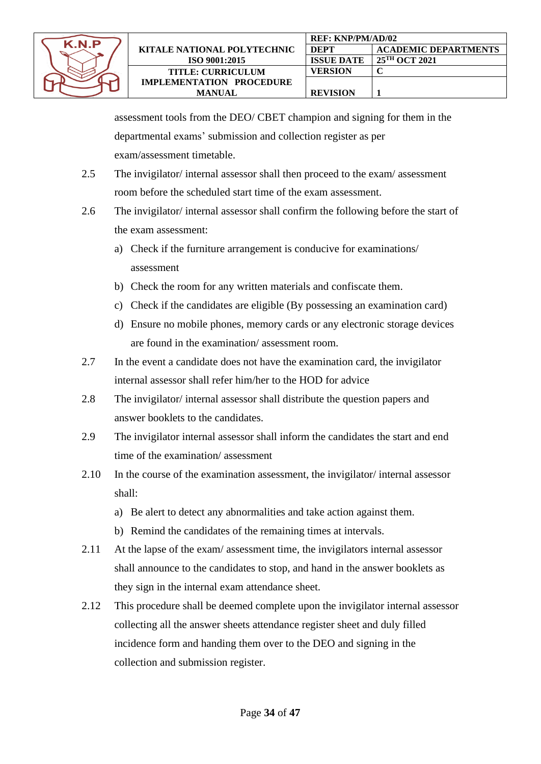

assessment tools from the DEO/ CBET champion and signing for them in the departmental exams' submission and collection register as per exam/assessment timetable.

- 2.5 The invigilator/ internal assessor shall then proceed to the exam/ assessment room before the scheduled start time of the exam assessment.
- 2.6 The invigilator/ internal assessor shall confirm the following before the start of the exam assessment:
	- a) Check if the furniture arrangement is conducive for examinations/ assessment
	- b) Check the room for any written materials and confiscate them.
	- c) Check if the candidates are eligible (By possessing an examination card)
	- d) Ensure no mobile phones, memory cards or any electronic storage devices are found in the examination/ assessment room.
- 2.7 In the event a candidate does not have the examination card, the invigilator internal assessor shall refer him/her to the HOD for advice
- 2.8 The invigilator/ internal assessor shall distribute the question papers and answer booklets to the candidates.
- 2.9 The invigilator internal assessor shall inform the candidates the start and end time of the examination/ assessment
- 2.10 In the course of the examination assessment, the invigilator/ internal assessor shall:
	- a) Be alert to detect any abnormalities and take action against them.
	- b) Remind the candidates of the remaining times at intervals.
- 2.11 At the lapse of the exam/ assessment time, the invigilators internal assessor shall announce to the candidates to stop, and hand in the answer booklets as they sign in the internal exam attendance sheet.
- 2.12 This procedure shall be deemed complete upon the invigilator internal assessor collecting all the answer sheets attendance register sheet and duly filled incidence form and handing them over to the DEO and signing in the collection and submission register.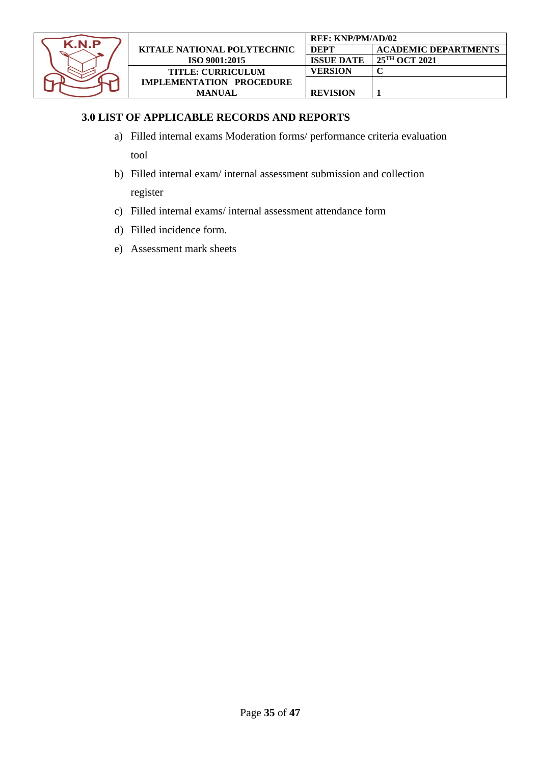

#### **3.0 LIST OF APPLICABLE RECORDS AND REPORTS**

a) Filled internal exams Moderation forms/ performance criteria evaluation tool

b) Filled internal exam/ internal assessment submission and collection register

- c) Filled internal exams/ internal assessment attendance form
- d) Filled incidence form.
- e) Assessment mark sheets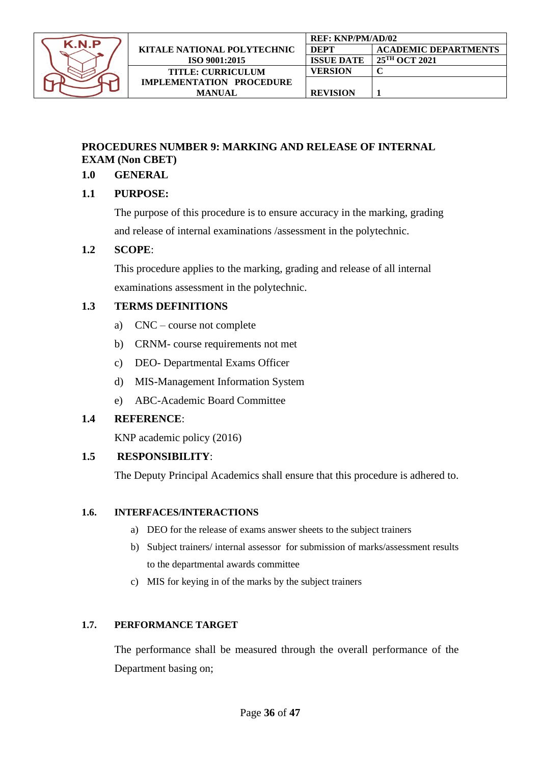

## <span id="page-35-0"></span>**PROCEDURES NUMBER 9: MARKING AND RELEASE OF INTERNAL EXAM (Non CBET)**

#### **1.0 GENERAL**

#### **1.1 PURPOSE:**

The purpose of this procedure is to ensure accuracy in the marking, grading and release of internal examinations /assessment in the polytechnic.

#### **1.2 SCOPE**:

This procedure applies to the marking, grading and release of all internal examinations assessment in the polytechnic.

#### **1.3 TERMS DEFINITIONS**

- a) CNC course not complete
- b) CRNM- course requirements not met
- c) DEO- Departmental Exams Officer
- d) MIS-Management Information System
- e) ABC-Academic Board Committee

## **1.4 REFERENCE**:

KNP academic policy (2016)

## **1.5 RESPONSIBILITY**:

The Deputy Principal Academics shall ensure that this procedure is adhered to.

#### **1.6. INTERFACES/INTERACTIONS**

- a) DEO for the release of exams answer sheets to the subject trainers
- b) Subject trainers/ internal assessor for submission of marks/assessment results to the departmental awards committee
- c) MIS for keying in of the marks by the subject trainers

#### **1.7. PERFORMANCE TARGET**

The performance shall be measured through the overall performance of the Department basing on;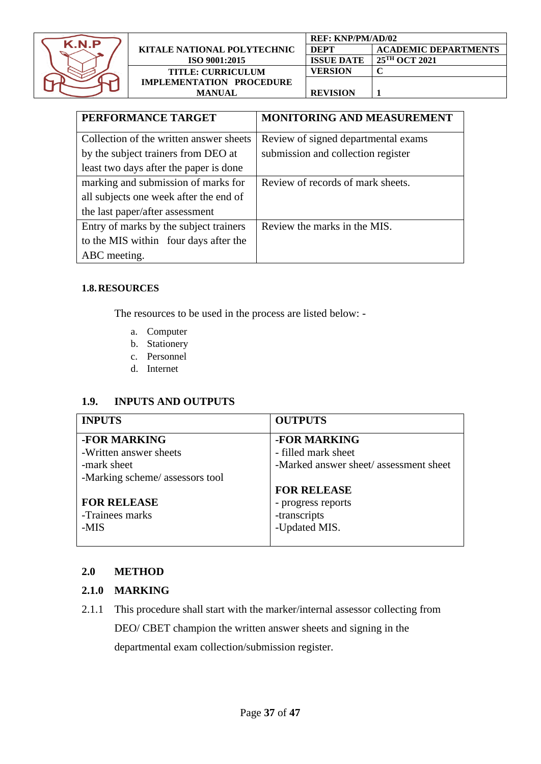

| KITALE NATIONAL POLYTECHNIC<br><b>ISO 9001:2015</b> |  |  |
|-----------------------------------------------------|--|--|
| <b>TITLE: CURRICULUM</b>                            |  |  |
| <b>IMPLEMENTATION PROCEDURE</b>                     |  |  |
| <b>MANUAL</b>                                       |  |  |

|            | <b>REF: KNP/PM/AD/02</b> |                             |  |  |
|------------|--------------------------|-----------------------------|--|--|
| INIC       | <b>DEPT</b>              | <b>ACADEMIC DEPARTMENTS</b> |  |  |
|            | <b>ISSUE DATE</b>        | 25TH OCT 2021               |  |  |
|            | <b>VERSION</b>           |                             |  |  |
| <b>JRE</b> |                          |                             |  |  |
|            | <b>REVISION</b>          |                             |  |  |

| PERFORMANCE TARGET                      | <b>MONITORING AND MEASUREMENT</b>   |
|-----------------------------------------|-------------------------------------|
| Collection of the written answer sheets | Review of signed departmental exams |
| by the subject trainers from DEO at     | submission and collection register  |
| least two days after the paper is done  |                                     |
| marking and submission of marks for     | Review of records of mark sheets.   |
| all subjects one week after the end of  |                                     |
| the last paper/after assessment         |                                     |
| Entry of marks by the subject trainers  | Review the marks in the MIS.        |
| to the MIS within four days after the   |                                     |
| ABC meeting.                            |                                     |

#### **1.8.RESOURCES**

The resources to be used in the process are listed below: -

- a. Computer
- b. Stationery
- c. Personnel
- d. Internet

#### **1.9. INPUTS AND OUTPUTS**

| <b>INPUTS</b>                   | <b>OUTPUTS</b>                         |
|---------------------------------|----------------------------------------|
| -FOR MARKING                    | -FOR MARKING                           |
| -Written answer sheets          | - filled mark sheet                    |
| -mark sheet                     | -Marked answer sheet/ assessment sheet |
| -Marking scheme/ assessors tool |                                        |
|                                 | <b>FOR RELEASE</b>                     |
| <b>FOR RELEASE</b>              | - progress reports                     |
| -Trainees marks                 | -transcripts                           |
| -MIS                            | -Updated MIS.                          |
|                                 |                                        |

#### **2.0 METHOD**

#### **2.1.0 MARKING**

2.1.1 This procedure shall start with the marker/internal assessor collecting from DEO/ CBET champion the written answer sheets and signing in the departmental exam collection/submission register.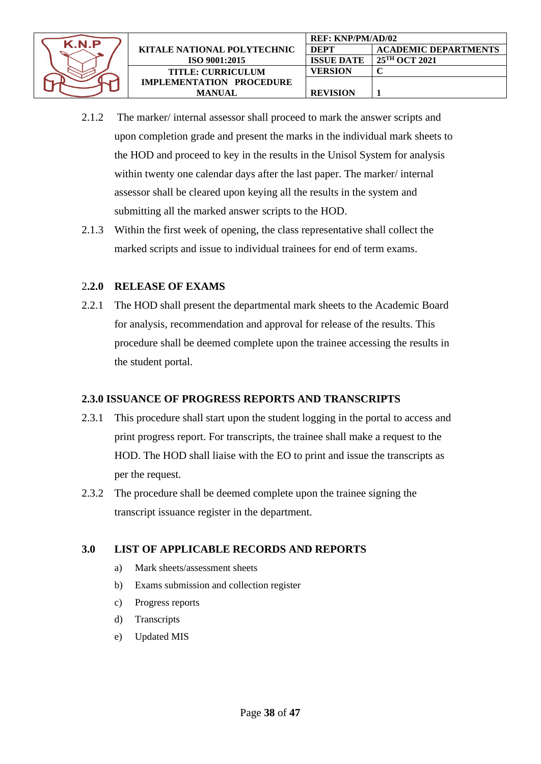

- 2.1.2 The marker/ internal assessor shall proceed to mark the answer scripts and upon completion grade and present the marks in the individual mark sheets to the HOD and proceed to key in the results in the Unisol System for analysis within twenty one calendar days after the last paper. The marker/ internal assessor shall be cleared upon keying all the results in the system and submitting all the marked answer scripts to the HOD.
- 2.1.3 Within the first week of opening, the class representative shall collect the marked scripts and issue to individual trainees for end of term exams.

#### 2**.2.0 RELEASE OF EXAMS**

2.2.1 The HOD shall present the departmental mark sheets to the Academic Board for analysis, recommendation and approval for release of the results. This procedure shall be deemed complete upon the trainee accessing the results in the student portal.

## **2.3.0 ISSUANCE OF PROGRESS REPORTS AND TRANSCRIPTS**

- 2.3.1 This procedure shall start upon the student logging in the portal to access and print progress report. For transcripts, the trainee shall make a request to the HOD. The HOD shall liaise with the EO to print and issue the transcripts as per the request.
- 2.3.2 The procedure shall be deemed complete upon the trainee signing the transcript issuance register in the department.

#### **3.0 LIST OF APPLICABLE RECORDS AND REPORTS**

- a) Mark sheets/assessment sheets
- b) Exams submission and collection register
- c) Progress reports
- d) Transcripts
- e) Updated MIS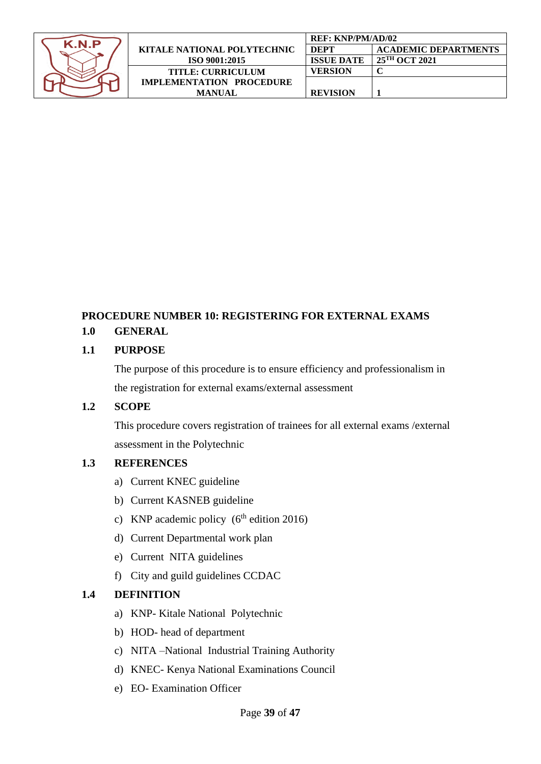| K.N.P |
|-------|
|       |
|       |
|       |
|       |

|                                 | <b>REF: KNP/PM/AD/02</b> |                             |
|---------------------------------|--------------------------|-----------------------------|
| KITALE NATIONAL POLYTECHNIC     | <b>DEPT</b>              | <b>ACADEMIC DEPARTMENTS</b> |
| <b>ISO 9001:2015</b>            | <b>ISSUE DATE</b>        | 25 <sup>TH</sup> OCT 2021   |
| <b>TITLE: CURRICULUM</b>        | VERSION                  |                             |
| <b>IMPLEMENTATION PROCEDURE</b> |                          |                             |
| <b>MANUAL</b>                   | <b>REVISION</b>          |                             |

# <span id="page-38-0"></span>**PROCEDURE NUMBER 10: REGISTERING FOR EXTERNAL EXAMS**

## **1.0 GENERAL**

#### **1.1 PURPOSE**

The purpose of this procedure is to ensure efficiency and professionalism in the registration for external exams/external assessment

#### **1.2 SCOPE**

This procedure covers registration of trainees for all external exams /external assessment in the Polytechnic

#### **1.3 REFERENCES**

- a) Current KNEC guideline
- b) Current KASNEB guideline
- c) KNP academic policy  $(6<sup>th</sup>$  edition 2016)
- d) Current Departmental work plan
- e) Current NITA guidelines
- f) City and guild guidelines CCDAC

## **1.4 DEFINITION**

- a) KNP- Kitale National Polytechnic
- b) HOD- head of department
- c) NITA –National Industrial Training Authority
- d) KNEC- Kenya National Examinations Council
- e) EO- Examination Officer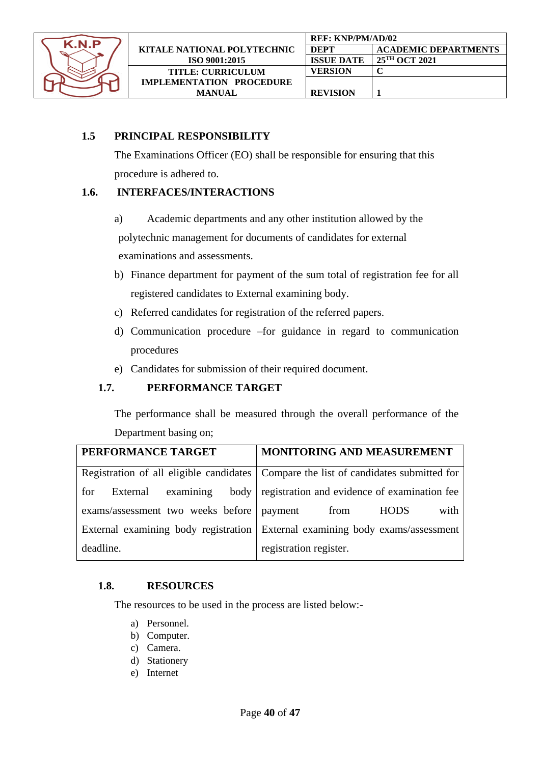

#### **1.5 PRINCIPAL RESPONSIBILITY**

The Examinations Officer (EO) shall be responsible for ensuring that this procedure is adhered to.

#### **1.6. INTERFACES/INTERACTIONS**

a) Academic departments and any other institution allowed by the

polytechnic management for documents of candidates for external examinations and assessments.

- b) Finance department for payment of the sum total of registration fee for all registered candidates to External examining body.
- c) Referred candidates for registration of the referred papers.
- d) Communication procedure –for guidance in regard to communication procedures
- e) Candidates for submission of their required document.

#### **1.7. PERFORMANCE TARGET**

The performance shall be measured through the overall performance of the Department basing on;

| PERFORMANCE TARGET                          | MONITORING AND MEASUREMENT                                                             |
|---------------------------------------------|----------------------------------------------------------------------------------------|
|                                             | Registration of all eligible candidates   Compare the list of candidates submitted for |
| examining<br>External<br>for                | body   registration and evidence of examination fee                                    |
| exams/assessment two weeks before   payment | with<br><b>HODS</b><br>from                                                            |
|                                             | External examining body registration   External examining body exams/assessment        |
| deadline.                                   | registration register.                                                                 |

#### **1.8. RESOURCES**

The resources to be used in the process are listed below:-

- a) Personnel.
- b) Computer.
- c) Camera.
- d) Stationery
- e) Internet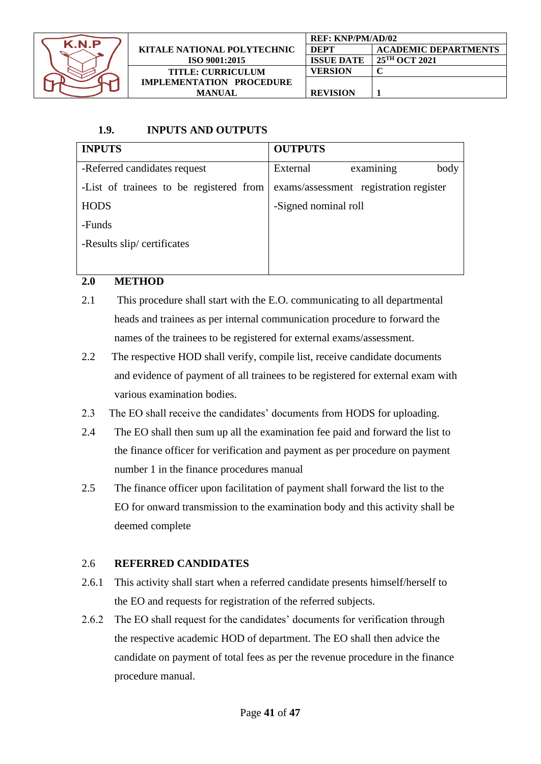

|                                    | REF: KNP/PM/AD/02 |                             |
|------------------------------------|-------------------|-----------------------------|
| <b>KITALE NATIONAL POLYTECHNIC</b> | <b>DEPT</b>       | <b>ACADEMIC DEPARTMENTS</b> |
| ISO 9001:2015                      | <b>ISSUE DATE</b> | 25 <sup>TH</sup> OCT 2021   |
| <b>TITLE: CURRICULUM</b>           | VERSION           |                             |
| <b>IMPLEMENTATION PROCEDURE</b>    |                   |                             |
| <b>MANUAL</b>                      | <b>REVISION</b>   |                             |

# **1.9. INPUTS AND OUTPUTS**

| <b>INPUTS</b>                           | <b>OUTPUTS</b>                         |  |  |
|-----------------------------------------|----------------------------------------|--|--|
| -Referred candidates request            | examining<br>body<br>External          |  |  |
| -List of trainees to be registered from | exams/assessment registration register |  |  |
| <b>HODS</b>                             | -Signed nominal roll                   |  |  |
| -Funds                                  |                                        |  |  |
| -Results slip/certificates              |                                        |  |  |
|                                         |                                        |  |  |

## **2.0 METHOD**

- 2.1 This procedure shall start with the E.O. communicating to all departmental heads and trainees as per internal communication procedure to forward the names of the trainees to be registered for external exams/assessment.
- 2.2 The respective HOD shall verify, compile list, receive candidate documents and evidence of payment of all trainees to be registered for external exam with various examination bodies.
- 2.3 The EO shall receive the candidates' documents from HODS for uploading.
- 2.4 The EO shall then sum up all the examination fee paid and forward the list to the finance officer for verification and payment as per procedure on payment number 1 in the finance procedures manual
- 2.5 The finance officer upon facilitation of payment shall forward the list to the EO for onward transmission to the examination body and this activity shall be deemed complete

## 2.6 **REFERRED CANDIDATES**

- 2.6.1 This activity shall start when a referred candidate presents himself/herself to the EO and requests for registration of the referred subjects.
- 2.6.2 The EO shall request for the candidates' documents for verification through the respective academic HOD of department. The EO shall then advice the candidate on payment of total fees as per the revenue procedure in the finance procedure manual.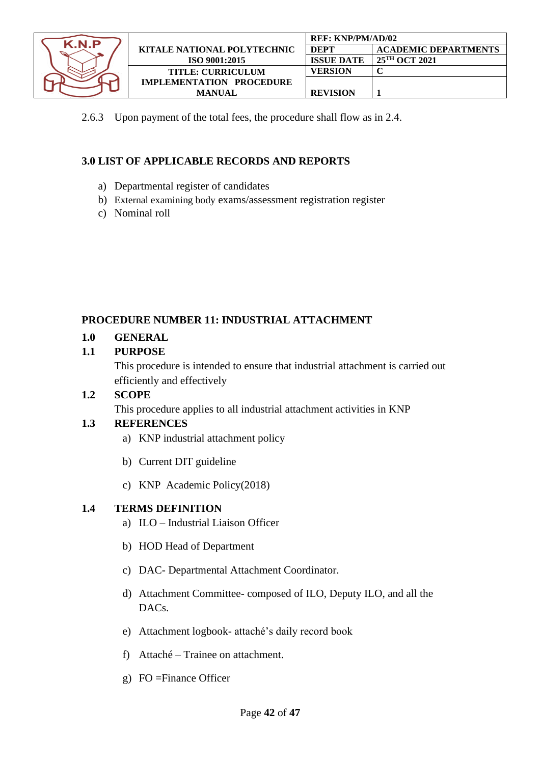

|                             | <b>REF: KNP/PM/AD/02</b> |                             |
|-----------------------------|--------------------------|-----------------------------|
| KITALE NATIONAL POLYTECHNIC | <b>DEPT</b>              | <b>ACADEMIC DEPARTMENTS</b> |
| ISO 9001:2015               | <b>ISSUE DATE</b>        | 25 <sup>TH</sup> OCT 2021   |
| <b>TITLE: CURRICULUM</b>    | VERSION                  |                             |
| IMPLEMENTATION PROCEDURE    |                          |                             |
| <b>MANUAL</b>               | <b>REVISION</b>          |                             |

2.6.3 Upon payment of the total fees, the procedure shall flow as in 2.4.

# **3.0 LIST OF APPLICABLE RECORDS AND REPORTS**

- a) Departmental register of candidates
- b) External examining body exams/assessment registration register
- c) Nominal roll

## <span id="page-41-0"></span>**PROCEDURE NUMBER 11: INDUSTRIAL ATTACHMENT**

## **1.0 GENERAL**

## **1.1 PURPOSE**

This procedure is intended to ensure that industrial attachment is carried out efficiently and effectively

## **1.2 SCOPE**

This procedure applies to all industrial attachment activities in KNP

## **1.3 REFERENCES**

- a) KNP industrial attachment policy
- b) Current DIT guideline
- c) KNP Academic Policy(2018)

## **1.4 TERMS DEFINITION**

- a) ILO Industrial Liaison Officer
- b) HOD Head of Department
- c) DAC- Departmental Attachment Coordinator.
- d) Attachment Committee- composed of ILO, Deputy ILO, and all the DACs.
- e) Attachment logbook- attaché's daily record book
- f) Attaché Trainee on attachment.
- g) FO =Finance Officer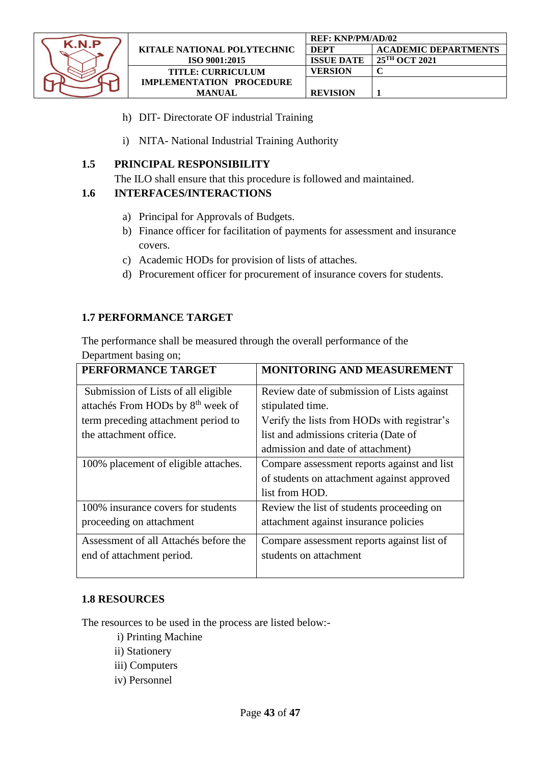

- h) DIT- Directorate OF industrial Training
- i) NITA- National Industrial Training Authority

#### **1.5 PRINCIPAL RESPONSIBILITY**

The ILO shall ensure that this procedure is followed and maintained.

#### **1.6 INTERFACES/INTERACTIONS**

- a) Principal for Approvals of Budgets.
- b) Finance officer for facilitation of payments for assessment and insurance covers.
- c) Academic HODs for provision of lists of attaches.
- d) Procurement officer for procurement of insurance covers for students.

#### **1.7 PERFORMANCE TARGET**

The performance shall be measured through the overall performance of the Department basing on;

| PERFORMANCE TARGET                                                                   | <b>MONITORING AND MEASUREMENT</b>                                                                           |
|--------------------------------------------------------------------------------------|-------------------------------------------------------------------------------------------------------------|
| Submission of Lists of all eligible<br>attachés From HODs by 8 <sup>th</sup> week of | Review date of submission of Lists against<br>stipulated time.                                              |
| term preceding attachment period to                                                  | Verify the lists from HODs with registrar's                                                                 |
| the attachment office.                                                               | list and admissions criteria (Date of<br>admission and date of attachment)                                  |
| 100% placement of eligible attaches.                                                 | Compare assessment reports against and list<br>of students on attachment against approved<br>list from HOD. |
| 100% insurance covers for students<br>proceeding on attachment                       | Review the list of students proceeding on<br>attachment against insurance policies                          |
| Assessment of all Attachés before the<br>end of attachment period.                   | Compare assessment reports against list of<br>students on attachment                                        |

#### **1.8 RESOURCES**

The resources to be used in the process are listed below:-

- i) Printing Machine
- ii) Stationery
- iii) Computers
- iv) Personnel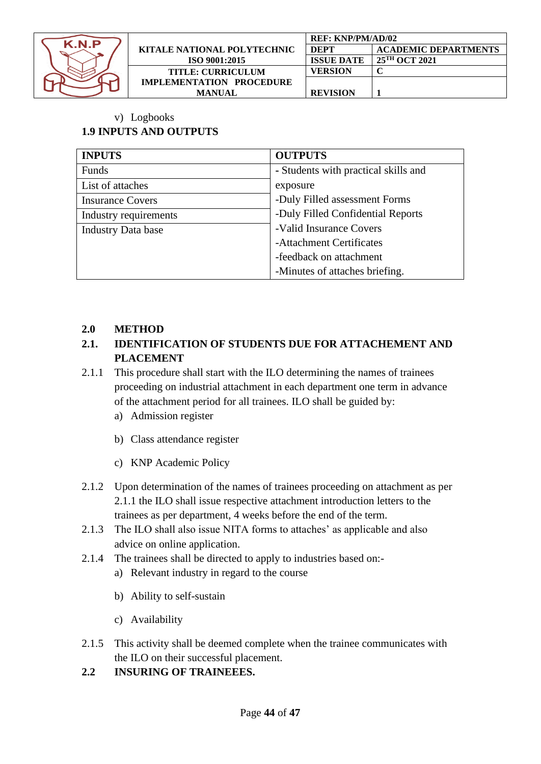

|                                 | REF: KNP/PM/AD/02 |                             |
|---------------------------------|-------------------|-----------------------------|
| KITALE NATIONAL POLYTECHNIC     | <b>DEPT</b>       | <b>ACADEMIC DEPARTMENTS</b> |
| ISO 9001:2015                   | <b>ISSUE DATE</b> | 25 <sup>TH</sup> OCT 2021   |
| <b>TITLE: CURRICULUM</b>        | VERSION           |                             |
| <b>IMPLEMENTATION PROCEDURE</b> |                   |                             |
| <b>MANUAL</b>                   | <b>REVISION</b>   |                             |

v) Logbooks

# **1.9 INPUTS AND OUTPUTS**

| <b>INPUTS</b>             | <b>OUTPUTS</b>                       |
|---------------------------|--------------------------------------|
| Funds                     | - Students with practical skills and |
| List of attaches          | exposure                             |
| <b>Insurance Covers</b>   | -Duly Filled assessment Forms        |
| Industry requirements     | -Duly Filled Confidential Reports    |
| <b>Industry Data base</b> | -Valid Insurance Covers              |
|                           | -Attachment Certificates             |
|                           | -feedback on attachment              |
|                           | -Minutes of attaches briefing.       |

## **2.0 METHOD**

# **2.1. IDENTIFICATION OF STUDENTS DUE FOR ATTACHEMENT AND PLACEMENT**

- 2.1.1 This procedure shall start with the ILO determining the names of trainees proceeding on industrial attachment in each department one term in advance of the attachment period for all trainees. ILO shall be guided by:
	- a) Admission register
	- b) Class attendance register
	- c) KNP Academic Policy
- 2.1.2 Upon determination of the names of trainees proceeding on attachment as per 2.1.1 the ILO shall issue respective attachment introduction letters to the trainees as per department, 4 weeks before the end of the term.
- 2.1.3 The ILO shall also issue NITA forms to attaches' as applicable and also advice on online application.
- 2.1.4 The trainees shall be directed to apply to industries based on:
	- a) Relevant industry in regard to the course
	- b) Ability to self-sustain
	- c) Availability
- 2.1.5 This activity shall be deemed complete when the trainee communicates with the ILO on their successful placement.
- **2.2 INSURING OF TRAINEEES.**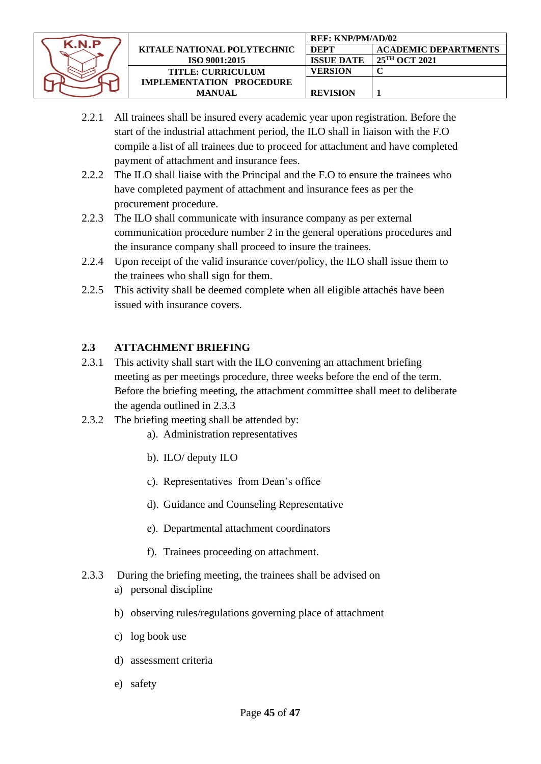

- 2.2.1 All trainees shall be insured every academic year upon registration. Before the start of the industrial attachment period, the ILO shall in liaison with the F.O compile a list of all trainees due to proceed for attachment and have completed payment of attachment and insurance fees.
- 2.2.2 The ILO shall liaise with the Principal and the F.O to ensure the trainees who have completed payment of attachment and insurance fees as per the procurement procedure.
- 2.2.3 The ILO shall communicate with insurance company as per external communication procedure number 2 in the general operations procedures and the insurance company shall proceed to insure the trainees.
- 2.2.4 Upon receipt of the valid insurance cover/policy, the ILO shall issue them to the trainees who shall sign for them.
- 2.2.5 This activity shall be deemed complete when all eligible attachés have been issued with insurance covers.

# **2.3 ATTACHMENT BRIEFING**

- 2.3.1 This activity shall start with the ILO convening an attachment briefing meeting as per meetings procedure, three weeks before the end of the term. Before the briefing meeting, the attachment committee shall meet to deliberate the agenda outlined in 2.3.3
- 2.3.2 The briefing meeting shall be attended by:
	- a). Administration representatives
	- b). ILO/ deputy ILO
	- c). Representatives from Dean's office
	- d). Guidance and Counseling Representative
	- e). Departmental attachment coordinators
	- f). Trainees proceeding on attachment.
- 2.3.3 During the briefing meeting, the trainees shall be advised on a) personal discipline
	- b) observing rules/regulations governing place of attachment
	- c) log book use
	- d) assessment criteria
	- e) safety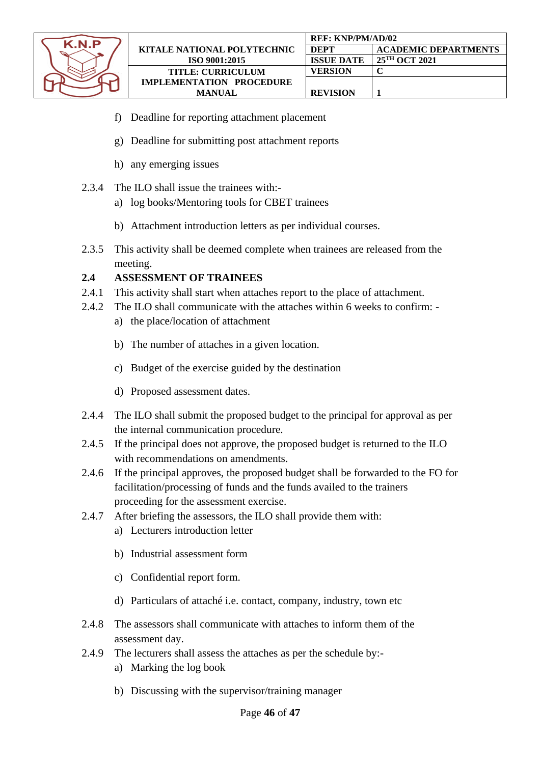

- f) Deadline for reporting attachment placement
- g) Deadline for submitting post attachment reports
- h) any emerging issues
- 2.3.4 The ILO shall issue the trainees with:
	- a) log books/Mentoring tools for CBET trainees
	- b) Attachment introduction letters as per individual courses.
- 2.3.5 This activity shall be deemed complete when trainees are released from the meeting.

## **2.4 ASSESSMENT OF TRAINEES**

- 2.4.1 This activity shall start when attaches report to the place of attachment.
- 2.4.2 The ILO shall communicate with the attaches within 6 weeks to confirm:
	- a) the place/location of attachment
	- b) The number of attaches in a given location.
	- c) Budget of the exercise guided by the destination
	- d) Proposed assessment dates.
- 2.4.4 The ILO shall submit the proposed budget to the principal for approval as per the internal communication procedure.
- 2.4.5 If the principal does not approve, the proposed budget is returned to the ILO with recommendations on amendments.
- 2.4.6 If the principal approves, the proposed budget shall be forwarded to the FO for facilitation/processing of funds and the funds availed to the trainers proceeding for the assessment exercise.
- 2.4.7 After briefing the assessors, the ILO shall provide them with:
	- a) Lecturers introduction letter
	- b) Industrial assessment form
	- c) Confidential report form.
	- d) Particulars of attaché i.e. contact, company, industry, town etc
- 2.4.8 The assessors shall communicate with attaches to inform them of the assessment day.
- 2.4.9 The lecturers shall assess the attaches as per the schedule by:
	- a) Marking the log book
	- b) Discussing with the supervisor/training manager